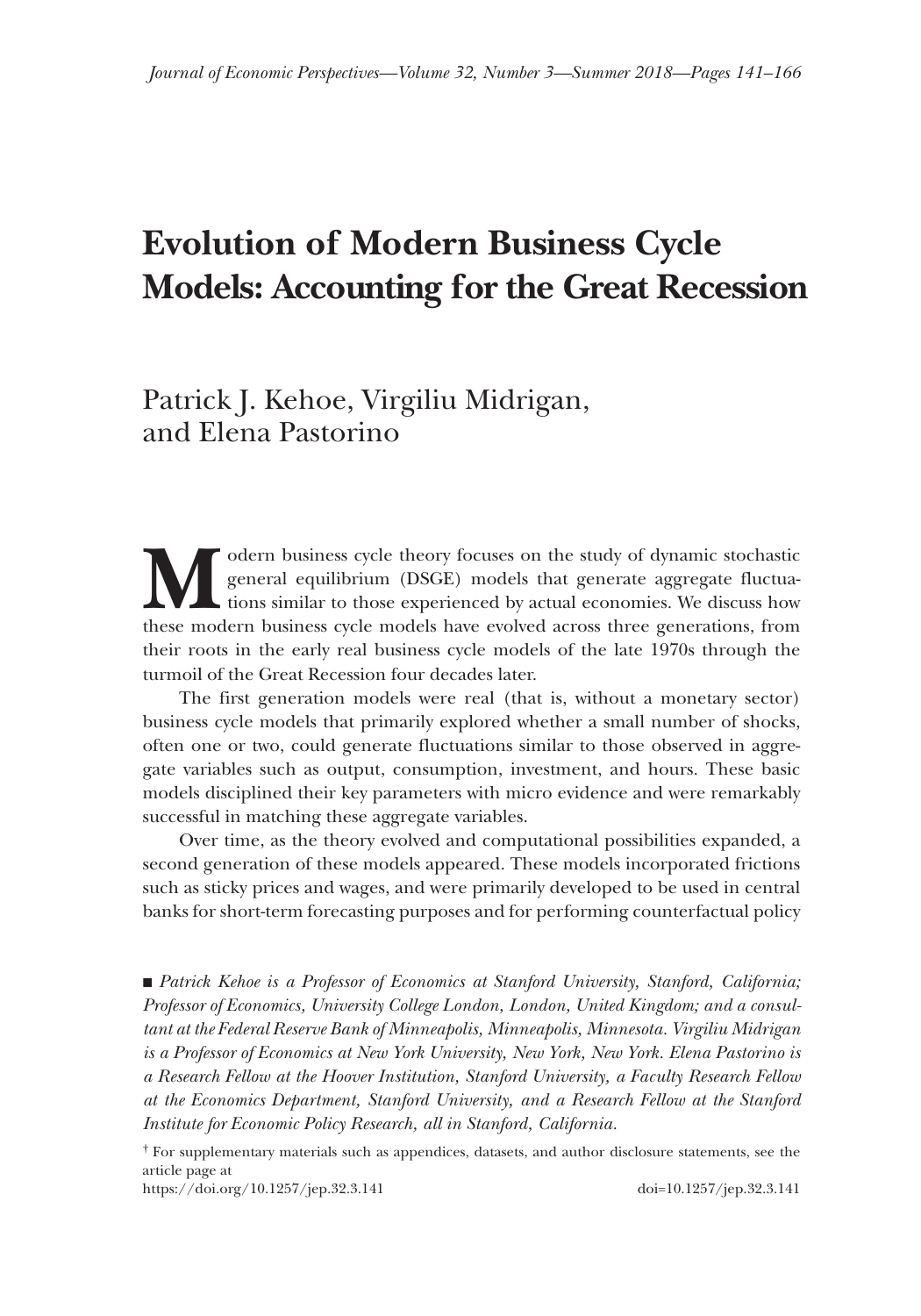# **Evolution of Modern Business Cycle Models: Accounting for the Great Recession**

# Patrick J. Kehoe, Virgiliu Midrigan, and Elena Pastorino

**M**odern business cycle theory focuses on the study of dynamic stochastic<br>general equilibrium (DSGE) models that generate aggregate fluctua-<br>tions similar to those experienced by actual economies. We discuss how<br>these mode general equilibrium (DSGE) models that generate aggregate fluctuations similar to those experienced by actual economies. We discuss how these modern business cycle models have evolved across three generations, from their roots in the early real business cycle models of the late 1970s through the turmoil of the Great Recession four decades later.

The first generation models were real (that is, without a monetary sector) business cycle models that primarily explored whether a small number of shocks, often one or two, could generate fluctuations similar to those observed in aggregate variables such as output, consumption, investment, and hours. These basic models disciplined their key parameters with micro evidence and were remarkably successful in matching these aggregate variables.

Over time, as the theory evolved and computational possibilities expanded, a second generation of these models appeared. These models incorporated frictions such as sticky prices and wages, and were primarily developed to be used in central banks for short-term forecasting purposes and for performing counterfactual policy

■ *Patrick Kehoe is a Professor of Economics at Stanford University, Stanford, California*; *Professor of Economics, University College London, London, United Kingdom; and a consultant at the Federal Reserve Bank of Minneapolis, Minneapolis, Minnesota. Virgiliu Midrigan is a Professor of Economics at New York University, New York, New York. Elena Pastorino is a Research Fellow at the Hoover Institution, Stanford University, a Faculty Research Fellow at the Economics Department, Stanford University, and a Research Fellow at the Stanford Institute for Economic Policy Research, all in Stanford, California.*

† For supplementary materials such as appendices, datasets, and author disclosure statements, see the article page at

https://doi.org/10.1257/jep.32.3.141 doi=10.1257/jep.32.3.141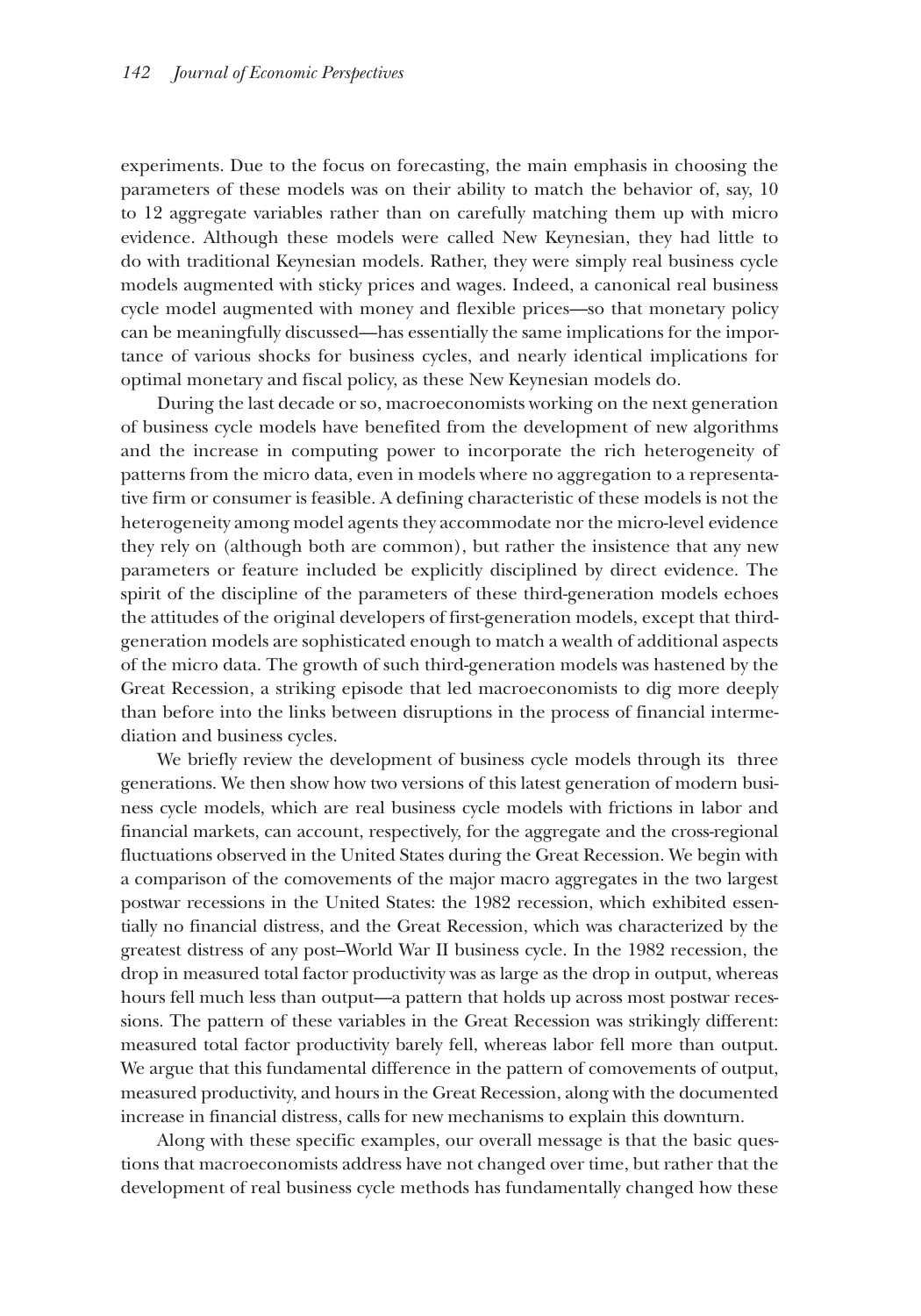experiments. Due to the focus on forecasting, the main emphasis in choosing the parameters of these models was on their ability to match the behavior of, say, 10 to 12 aggregate variables rather than on carefully matching them up with micro evidence. Although these models were called New Keynesian, they had little to do with traditional Keynesian models. Rather, they were simply real business cycle models augmented with sticky prices and wages. Indeed, a canonical real business cycle model augmented with money and flexible prices—so that monetary policy can be meaningfully discussed—has essentially the same implications for the importance of various shocks for business cycles, and nearly identical implications for optimal monetary and fiscal policy, as these New Keynesian models do.

During the last decade or so, macroeconomists working on the next generation of business cycle models have benefited from the development of new algorithms and the increase in computing power to incorporate the rich heterogeneity of patterns from the micro data, even in models where no aggregation to a representative firm or consumer is feasible. A defining characteristic of these models is not the heterogeneity among model agents they accommodate nor the micro-level evidence they rely on (although both are common), but rather the insistence that any new parameters or feature included be explicitly disciplined by direct evidence. The spirit of the discipline of the parameters of these third-generation models echoes the attitudes of the original developers of first-generation models, except that thirdgeneration models are sophisticated enough to match a wealth of additional aspects of the micro data. The growth of such third-generation models was hastened by the Great Recession, a striking episode that led macroeconomists to dig more deeply than before into the links between disruptions in the process of financial intermediation and business cycles.

We briefly review the development of business cycle models through its three generations. We then show how two versions of this latest generation of modern business cycle models, which are real business cycle models with frictions in labor and financial markets, can account, respectively, for the aggregate and the cross-regional fluctuations observed in the United States during the Great Recession. We begin with a comparison of the comovements of the major macro aggregates in the two largest postwar recessions in the United States: the 1982 recession, which exhibited essentially no financial distress, and the Great Recession, which was characterized by the greatest distress of any post–World War II business cycle. In the 1982 recession, the drop in measured total factor productivity was as large as the drop in output, whereas hours fell much less than output—a pattern that holds up across most postwar recessions. The pattern of these variables in the Great Recession was strikingly different: measured total factor productivity barely fell, whereas labor fell more than output. We argue that this fundamental difference in the pattern of comovements of output, measured productivity, and hours in the Great Recession, along with the documented increase in financial distress, calls for new mechanisms to explain this downturn.

Along with these specific examples, our overall message is that the basic questions that macroeconomists address have not changed over time, but rather that the development of real business cycle methods has fundamentally changed how these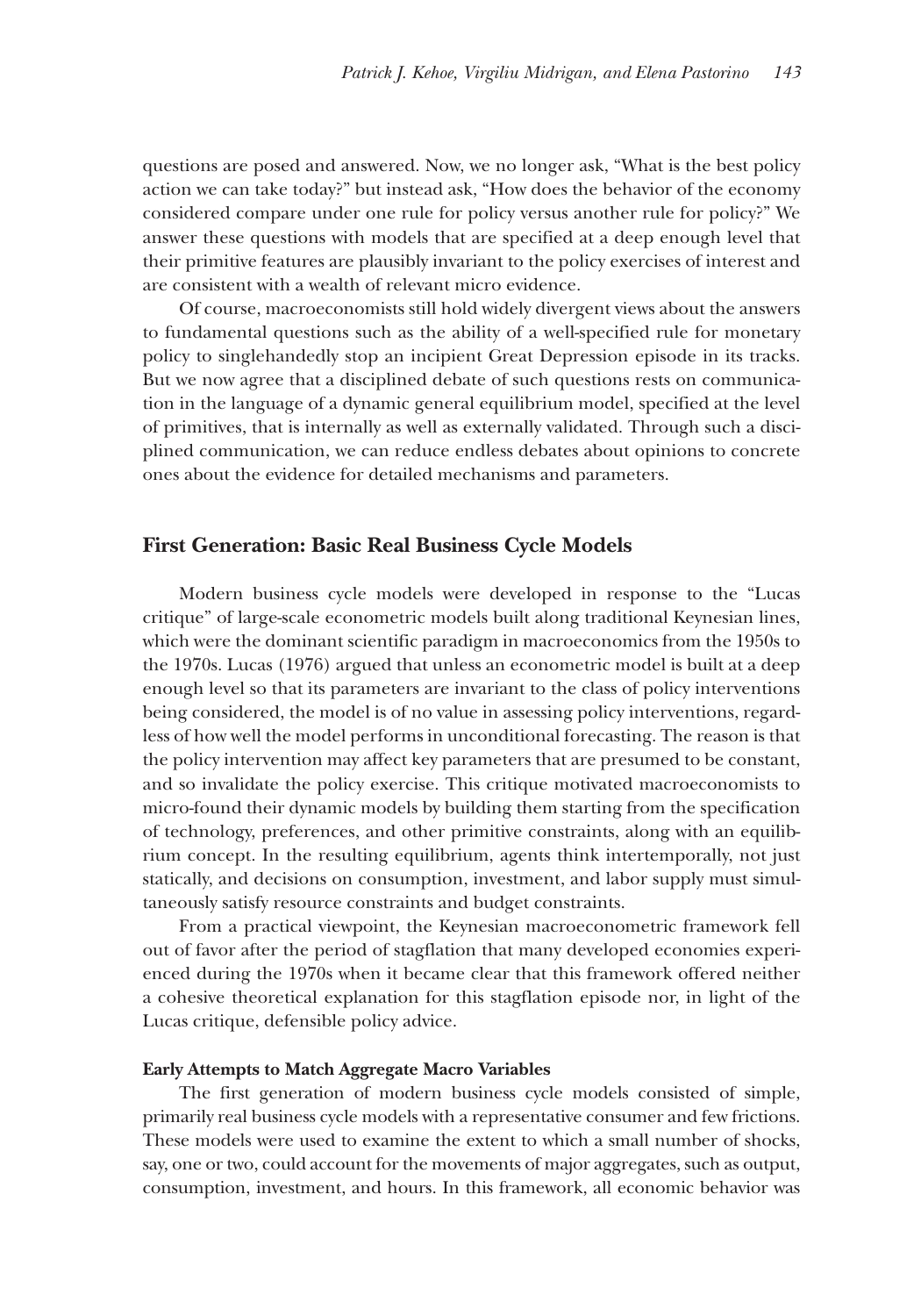questions are posed and answered. Now, we no longer ask, "What is the best policy action we can take today?" but instead ask, "How does the behavior of the economy considered compare under one rule for policy versus another rule for policy?" We answer these questions with models that are specified at a deep enough level that their primitive features are plausibly invariant to the policy exercises of interest and are consistent with a wealth of relevant micro evidence.

Of course, macroeconomists still hold widely divergent views about the answers to fundamental questions such as the ability of a well-specified rule for monetary policy to singlehandedly stop an incipient Great Depression episode in its tracks. But we now agree that a disciplined debate of such questions rests on communication in the language of a dynamic general equilibrium model, specified at the level of primitives, that is internally as well as externally validated. Through such a disciplined communication, we can reduce endless debates about opinions to concrete ones about the evidence for detailed mechanisms and parameters.

## **First Generation: Basic Real Business Cycle Models**

Modern business cycle models were developed in response to the "Lucas critique" of large-scale econometric models built along traditional Keynesian lines, which were the dominant scientific paradigm in macroeconomics from the 1950s to the 1970s. Lucas (1976) argued that unless an econometric model is built at a deep enough level so that its parameters are invariant to the class of policy interventions being considered, the model is of no value in assessing policy interventions, regardless of how well the model performs in unconditional forecasting. The reason is that the policy intervention may affect key parameters that are presumed to be constant, and so invalidate the policy exercise. This critique motivated macroeconomists to micro-found their dynamic models by building them starting from the specification of technology, preferences, and other primitive constraints, along with an equilibrium concept. In the resulting equilibrium, agents think intertemporally, not just statically, and decisions on consumption, investment, and labor supply must simultaneously satisfy resource constraints and budget constraints.

From a practical viewpoint, the Keynesian macroeconometric framework fell out of favor after the period of stagflation that many developed economies experienced during the 1970s when it became clear that this framework offered neither a cohesive theoretical explanation for this stagflation episode nor, in light of the Lucas critique, defensible policy advice.

#### **Early Attempts to Match Aggregate Macro Variables**

The first generation of modern business cycle models consisted of simple, primarily real business cycle models with a representative consumer and few frictions. These models were used to examine the extent to which a small number of shocks, say, one or two, could account for the movements of major aggregates, such as output, consumption, investment, and hours. In this framework, all economic behavior was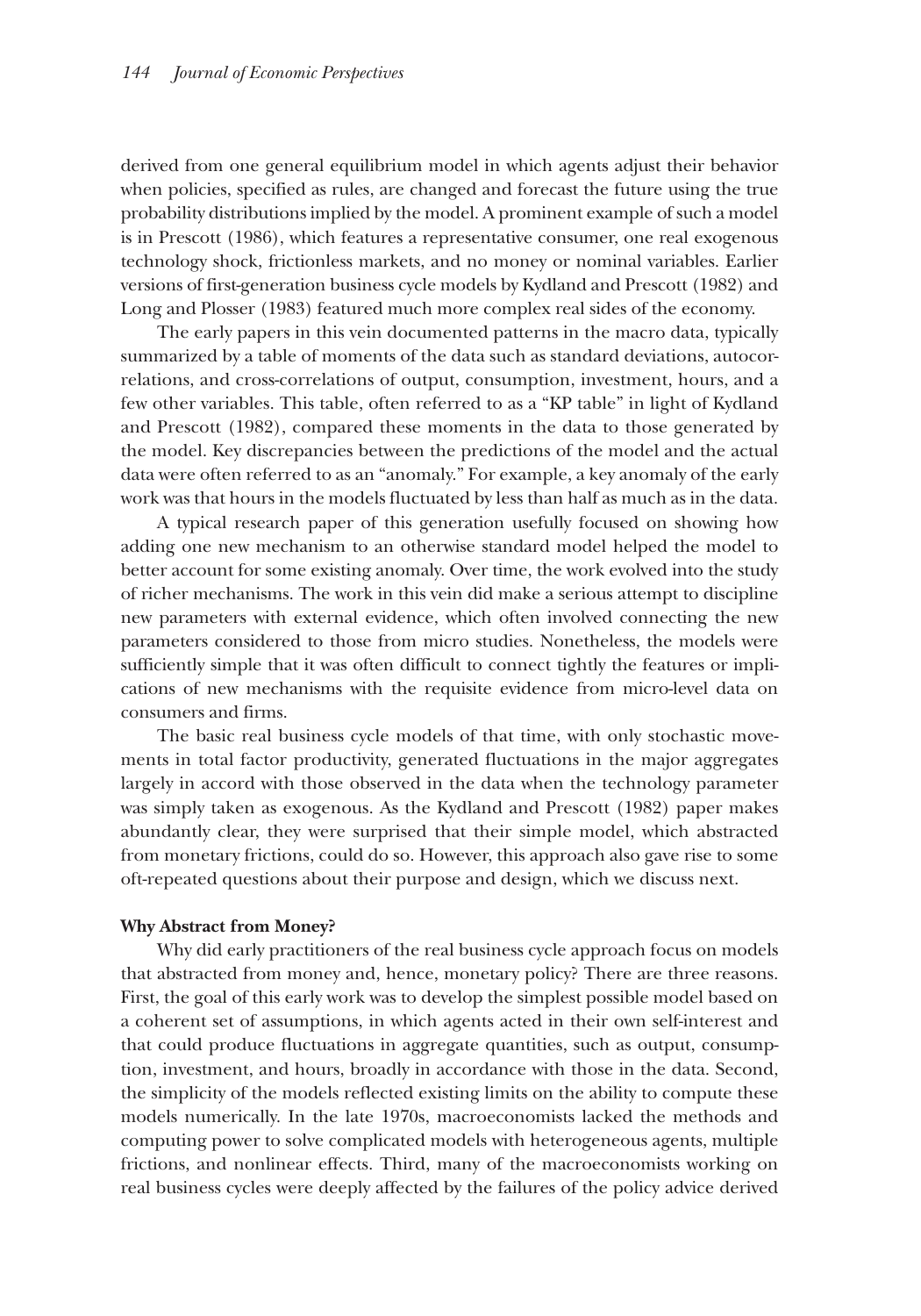derived from one general equilibrium model in which agents adjust their behavior when policies, specified as rules, are changed and forecast the future using the true probability distributions implied by the model. A prominent example of such a model is in Prescott (1986), which features a representative consumer, one real exogenous technology shock, frictionless markets, and no money or nominal variables. Earlier versions of first-generation business cycle models by Kydland and Prescott (1982) and Long and Plosser (1983) featured much more complex real sides of the economy.

The early papers in this vein documented patterns in the macro data, typically summarized by a table of moments of the data such as standard deviations, autocorrelations, and cross-correlations of output, consumption, investment, hours, and a few other variables. This table, often referred to as a "KP table" in light of Kydland and Prescott (1982), compared these moments in the data to those generated by the model. Key discrepancies between the predictions of the model and the actual data were often referred to as an "anomaly." For example, a key anomaly of the early work was that hours in the models fluctuated by less than half as much as in the data.

A typical research paper of this generation usefully focused on showing how adding one new mechanism to an otherwise standard model helped the model to better account for some existing anomaly. Over time, the work evolved into the study of richer mechanisms. The work in this vein did make a serious attempt to discipline new parameters with external evidence, which often involved connecting the new parameters considered to those from micro studies. Nonetheless, the models were sufficiently simple that it was often difficult to connect tightly the features or implications of new mechanisms with the requisite evidence from micro-level data on consumers and firms.

The basic real business cycle models of that time, with only stochastic movements in total factor productivity, generated fluctuations in the major aggregates largely in accord with those observed in the data when the technology parameter was simply taken as exogenous. As the Kydland and Prescott (1982) paper makes abundantly clear, they were surprised that their simple model, which abstracted from monetary frictions, could do so. However, this approach also gave rise to some oft-repeated questions about their purpose and design, which we discuss next.

#### **Why Abstract from Money?**

Why did early practitioners of the real business cycle approach focus on models that abstracted from money and, hence, monetary policy? There are three reasons. First, the goal of this early work was to develop the simplest possible model based on a coherent set of assumptions, in which agents acted in their own self-interest and that could produce fluctuations in aggregate quantities, such as output, consumption, investment, and hours, broadly in accordance with those in the data. Second, the simplicity of the models reflected existing limits on the ability to compute these models numerically. In the late 1970s, macroeconomists lacked the methods and computing power to solve complicated models with heterogeneous agents, multiple frictions, and nonlinear effects. Third, many of the macroeconomists working on real business cycles were deeply affected by the failures of the policy advice derived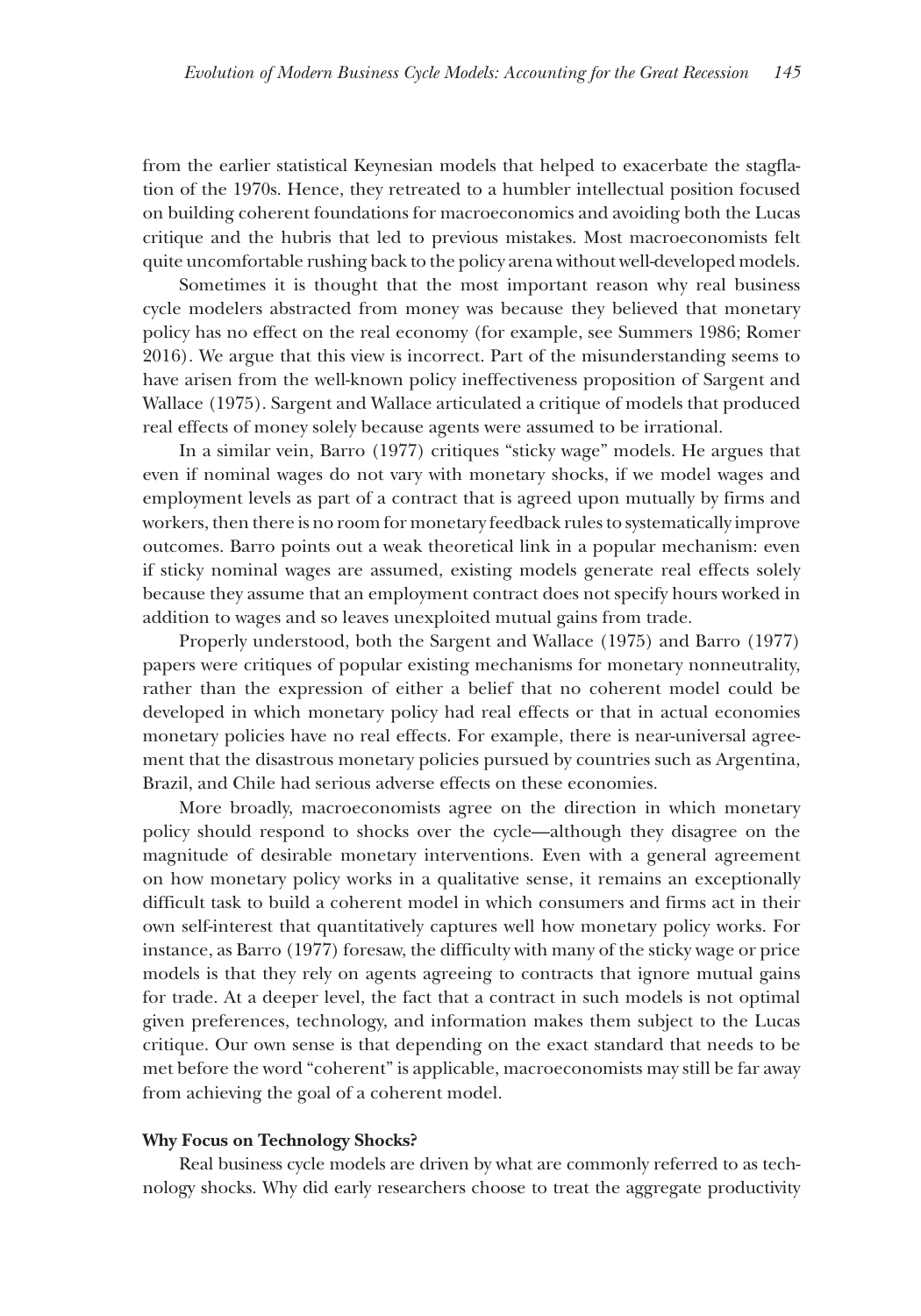from the earlier statistical Keynesian models that helped to exacerbate the stagflation of the 1970s. Hence, they retreated to a humbler intellectual position focused on building coherent foundations for macroeconomics and avoiding both the Lucas critique and the hubris that led to previous mistakes. Most macroeconomists felt quite uncomfortable rushing back to the policy arena without well-developed models.

Sometimes it is thought that the most important reason why real business cycle modelers abstracted from money was because they believed that monetary policy has no effect on the real economy (for example, see Summers 1986; Romer 2016). We argue that this view is incorrect. Part of the misunderstanding seems to have arisen from the well-known policy ineffectiveness proposition of Sargent and Wallace (1975). Sargent and Wallace articulated a critique of models that produced real effects of money solely because agents were assumed to be irrational.

In a similar vein, Barro (1977) critiques "sticky wage" models. He argues that even if nominal wages do not vary with monetary shocks, if we model wages and employment levels as part of a contract that is agreed upon mutually by firms and workers, then there is no room for monetary feedback rules to systematically improve outcomes. Barro points out a weak theoretical link in a popular mechanism: even if sticky nominal wages are assumed, existing models generate real effects solely because they assume that an employment contract does not specify hours worked in addition to wages and so leaves unexploited mutual gains from trade.

Properly understood, both the Sargent and Wallace (1975) and Barro (1977) papers were critiques of popular existing mechanisms for monetary nonneutrality, rather than the expression of either a belief that no coherent model could be developed in which monetary policy had real effects or that in actual economies monetary policies have no real effects. For example, there is near-universal agreement that the disastrous monetary policies pursued by countries such as Argentina, Brazil, and Chile had serious adverse effects on these economies.

More broadly, macroeconomists agree on the direction in which monetary policy should respond to shocks over the cycle—although they disagree on the magnitude of desirable monetary interventions. Even with a general agreement on how monetary policy works in a qualitative sense, it remains an exceptionally difficult task to build a coherent model in which consumers and firms act in their own self-interest that quantitatively captures well how monetary policy works. For instance, as Barro (1977) foresaw, the difficulty with many of the sticky wage or price models is that they rely on agents agreeing to contracts that ignore mutual gains for trade. At a deeper level, the fact that a contract in such models is not optimal given preferences, technology, and information makes them subject to the Lucas critique. Our own sense is that depending on the exact standard that needs to be met before the word "coherent" is applicable, macroeconomists may still be far away from achieving the goal of a coherent model.

#### **Why Focus on Technology Shocks?**

Real business cycle models are driven by what are commonly referred to as technology shocks. Why did early researchers choose to treat the aggregate productivity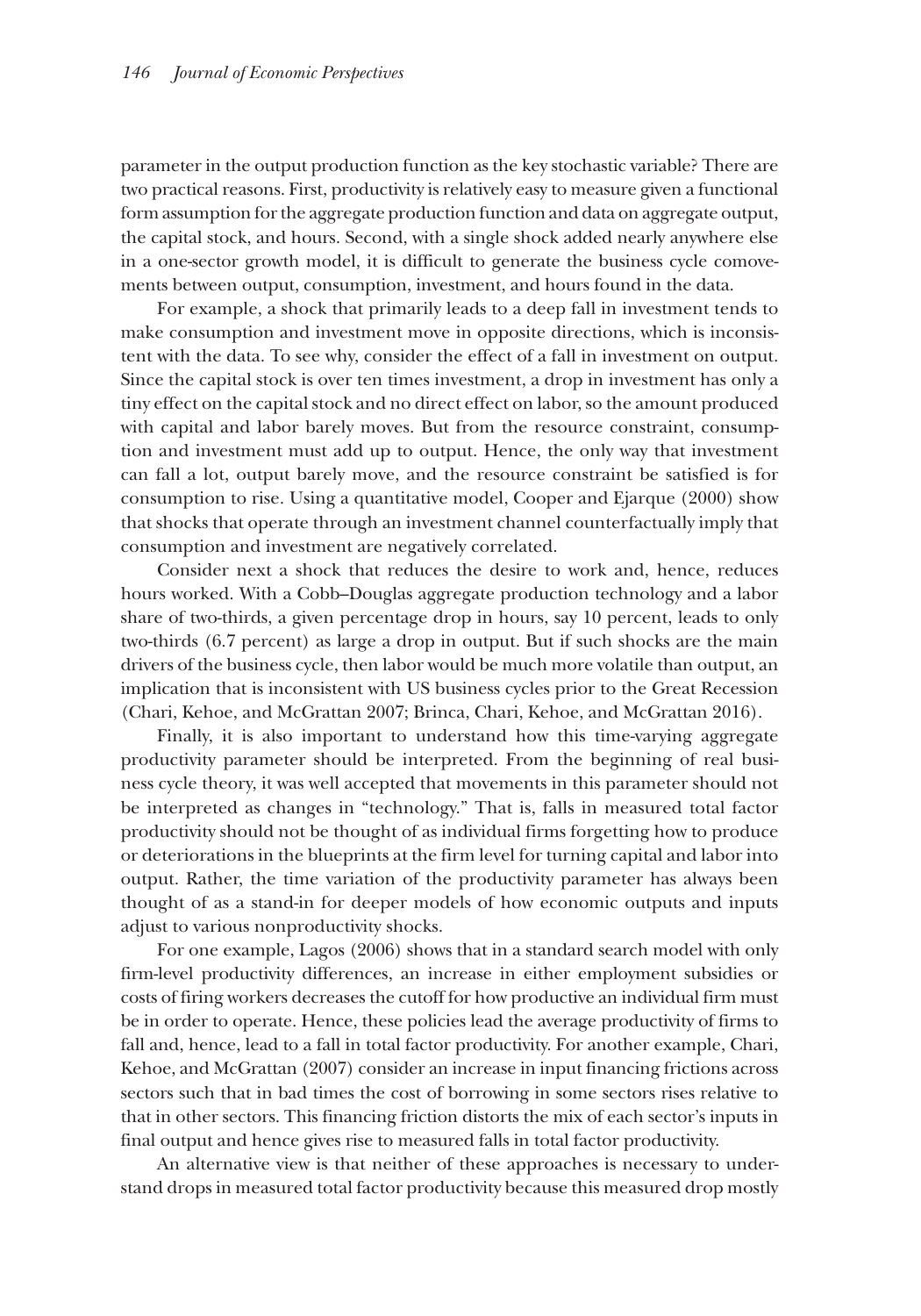parameter in the output production function as the key stochastic variable? There are two practical reasons. First, productivity is relatively easy to measure given a functional form assumption for the aggregate production function and data on aggregate output, the capital stock, and hours. Second, with a single shock added nearly anywhere else in a one-sector growth model, it is difficult to generate the business cycle comovements between output, consumption, investment, and hours found in the data.

For example, a shock that primarily leads to a deep fall in investment tends to make consumption and investment move in opposite directions, which is inconsistent with the data. To see why, consider the effect of a fall in investment on output. Since the capital stock is over ten times investment, a drop in investment has only a tiny effect on the capital stock and no direct effect on labor, so the amount produced with capital and labor barely moves. But from the resource constraint, consumption and investment must add up to output. Hence, the only way that investment can fall a lot, output barely move, and the resource constraint be satisfied is for consumption to rise. Using a quantitative model, Cooper and Ejarque (2000) show that shocks that operate through an investment channel counterfactually imply that consumption and investment are negatively correlated.

Consider next a shock that reduces the desire to work and, hence, reduces hours worked. With a Cobb–Douglas aggregate production technology and a labor share of two-thirds, a given percentage drop in hours, say 10 percent, leads to only two-thirds (6.7 percent) as large a drop in output. But if such shocks are the main drivers of the business cycle, then labor would be much more volatile than output, an implication that is inconsistent with US business cycles prior to the Great Recession (Chari, Kehoe, and McGrattan 2007; Brinca, Chari, Kehoe, and McGrattan 2016).

Finally, it is also important to understand how this time-varying aggregate productivity parameter should be interpreted. From the beginning of real business cycle theory, it was well accepted that movements in this parameter should not be interpreted as changes in "technology." That is, falls in measured total factor productivity should not be thought of as individual firms forgetting how to produce or deteriorations in the blueprints at the firm level for turning capital and labor into output. Rather, the time variation of the productivity parameter has always been thought of as a stand-in for deeper models of how economic outputs and inputs adjust to various nonproductivity shocks.

For one example, Lagos (2006) shows that in a standard search model with only firm-level productivity differences, an increase in either employment subsidies or costs of firing workers decreases the cutoff for how productive an individual firm must be in order to operate. Hence, these policies lead the average productivity of firms to fall and, hence, lead to a fall in total factor productivity. For another example, Chari, Kehoe, and McGrattan (2007) consider an increase in input financing frictions across sectors such that in bad times the cost of borrowing in some sectors rises relative to that in other sectors. This financing friction distorts the mix of each sector's inputs in final output and hence gives rise to measured falls in total factor productivity.

An alternative view is that neither of these approaches is necessary to understand drops in measured total factor productivity because this measured drop mostly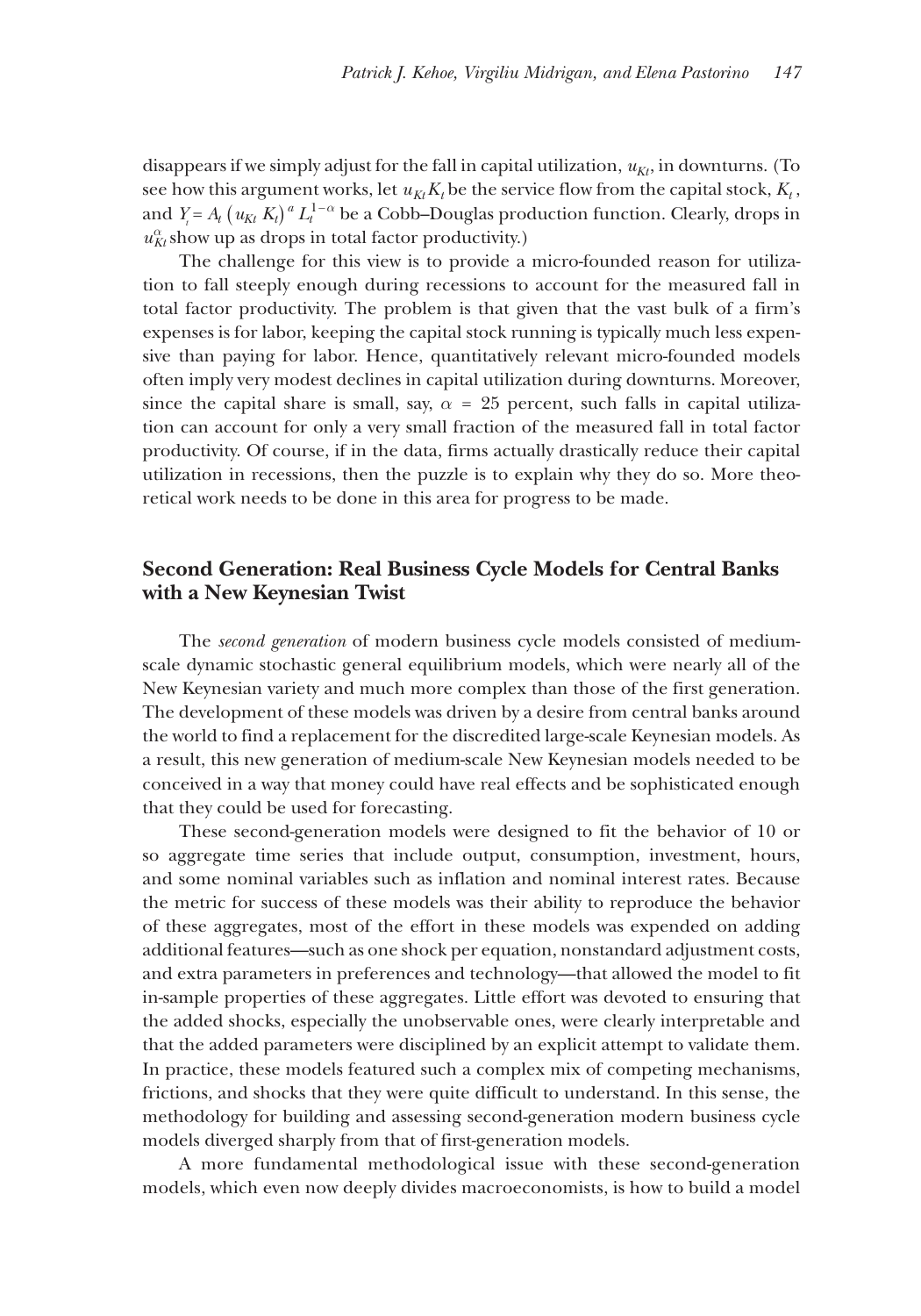disappears if we simply adjust for the fall in capital utilization,  $u_{Kt}$ , in downturns. (To see how this argument works, let  $u_{Kt} K_t$  be the service flow from the capital stock,  $K_t$ , and  $Y_t = A_t (u_{Kt} K_t)^a L_t^{1-\alpha}$  be a Cobb–Douglas production function. Clearly, drops in  $u_{Kt}^{\alpha}$  show up as drops in total factor productivity.)

The challenge for this view is to provide a micro-founded reason for utilization to fall steeply enough during recessions to account for the measured fall in total factor productivity. The problem is that given that the vast bulk of a firm's expenses is for labor, keeping the capital stock running is typically much less expensive than paying for labor. Hence, quantitatively relevant micro-founded models often imply very modest declines in capital utilization during downturns. Moreover, since the capital share is small, say,  $\alpha = 25$  percent, such falls in capital utilization can account for only a very small fraction of the measured fall in total factor productivity. Of course, if in the data, firms actually drastically reduce their capital utilization in recessions, then the puzzle is to explain why they do so. More theoretical work needs to be done in this area for progress to be made.

# **Second Generation: Real Business Cycle Models for Central Banks with a New Keynesian Twist**

The *second generation* of modern business cycle models consisted of mediumscale dynamic stochastic general equilibrium models, which were nearly all of the New Keynesian variety and much more complex than those of the first generation. The development of these models was driven by a desire from central banks around the world to find a replacement for the discredited large-scale Keynesian models. As a result, this new generation of medium-scale New Keynesian models needed to be conceived in a way that money could have real effects and be sophisticated enough that they could be used for forecasting.

These second-generation models were designed to fit the behavior of 10 or so aggregate time series that include output, consumption, investment, hours, and some nominal variables such as inflation and nominal interest rates. Because the metric for success of these models was their ability to reproduce the behavior of these aggregates, most of the effort in these models was expended on adding additional features—such as one shock per equation, nonstandard adjustment costs, and extra parameters in preferences and technology—that allowed the model to fit in-sample properties of these aggregates. Little effort was devoted to ensuring that the added shocks, especially the unobservable ones, were clearly interpretable and that the added parameters were disciplined by an explicit attempt to validate them. In practice, these models featured such a complex mix of competing mechanisms, frictions, and shocks that they were quite difficult to understand. In this sense, the methodology for building and assessing second-generation modern business cycle models diverged sharply from that of first-generation models.

A more fundamental methodological issue with these second-generation models, which even now deeply divides macroeconomists, is how to build a model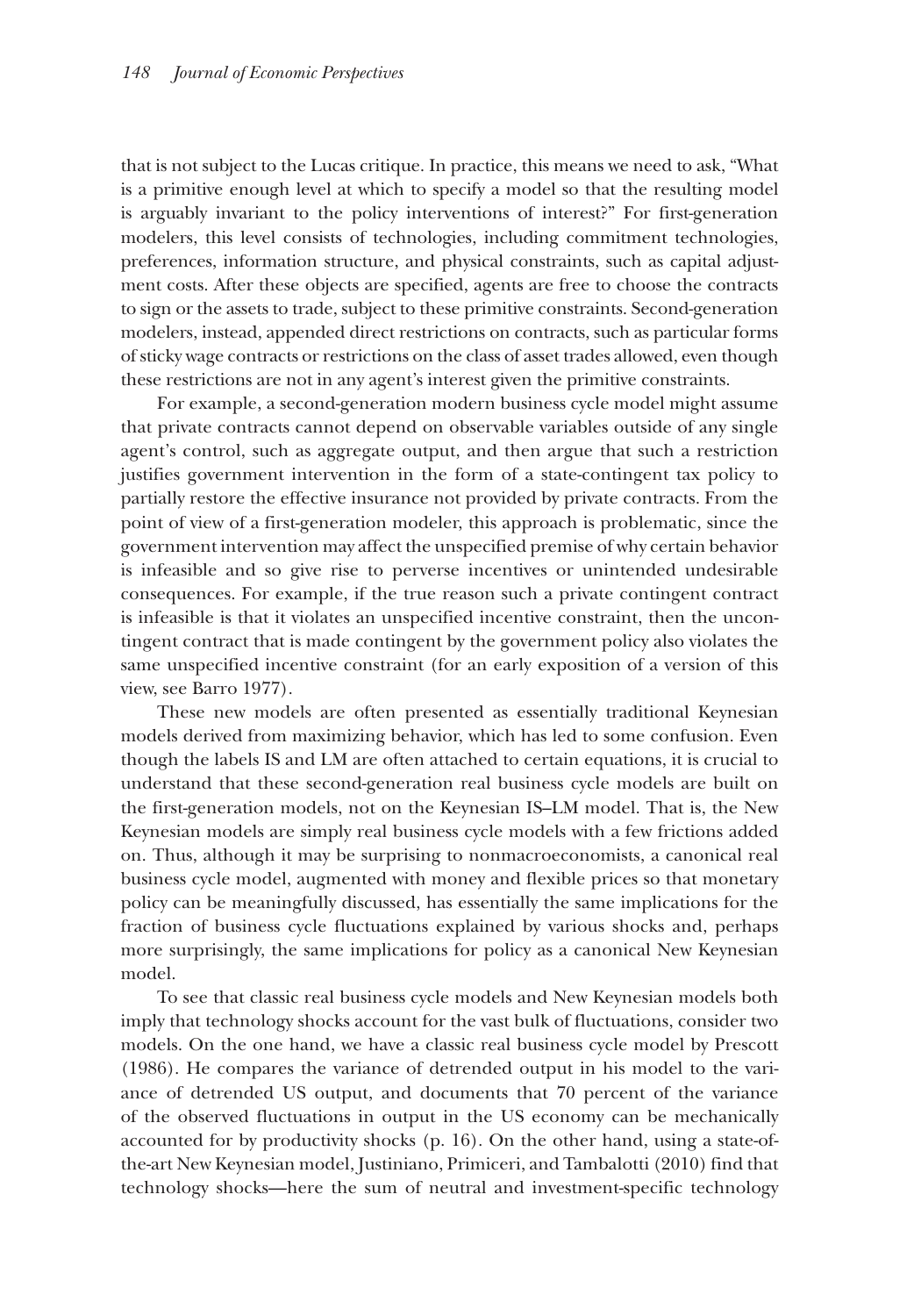that is not subject to the Lucas critique. In practice, this means we need to ask, "What is a primitive enough level at which to specify a model so that the resulting model is arguably invariant to the policy interventions of interest?" For first-generation modelers, this level consists of technologies, including commitment technologies, preferences, information structure, and physical constraints, such as capital adjustment costs. After these objects are specified, agents are free to choose the contracts to sign or the assets to trade, subject to these primitive constraints. Second-generation modelers, instead, appended direct restrictions on contracts, such as particular forms of sticky wage contracts or restrictions on the class of asset trades allowed, even though these restrictions are not in any agent's interest given the primitive constraints.

For example, a second-generation modern business cycle model might assume that private contracts cannot depend on observable variables outside of any single agent's control, such as aggregate output, and then argue that such a restriction justifies government intervention in the form of a state-contingent tax policy to partially restore the effective insurance not provided by private contracts. From the point of view of a first-generation modeler, this approach is problematic, since the government intervention may affect the unspecified premise of why certain behavior is infeasible and so give rise to perverse incentives or unintended undesirable consequences. For example, if the true reason such a private contingent contract is infeasible is that it violates an unspecified incentive constraint, then the uncontingent contract that is made contingent by the government policy also violates the same unspecified incentive constraint (for an early exposition of a version of this view, see Barro 1977).

These new models are often presented as essentially traditional Keynesian models derived from maximizing behavior, which has led to some confusion. Even though the labels IS and LM are often attached to certain equations, it is crucial to understand that these second-generation real business cycle models are built on the first-generation models, not on the Keynesian IS–LM model. That is, the New Keynesian models are simply real business cycle models with a few frictions added on. Thus, although it may be surprising to nonmacroeconomists, a canonical real business cycle model, augmented with money and flexible prices so that monetary policy can be meaningfully discussed, has essentially the same implications for the fraction of business cycle fluctuations explained by various shocks and, perhaps more surprisingly, the same implications for policy as a canonical New Keynesian model.

To see that classic real business cycle models and New Keynesian models both imply that technology shocks account for the vast bulk of fluctuations, consider two models. On the one hand, we have a classic real business cycle model by Prescott (1986). He compares the variance of detrended output in his model to the variance of detrended US output, and documents that 70 percent of the variance of the observed fluctuations in output in the US economy can be mechanically accounted for by productivity shocks (p. 16). On the other hand, using a state-ofthe-art New Keynesian model, Justiniano, Primiceri, and Tambalotti (2010) find that technology shocks—here the sum of neutral and investment-specific technology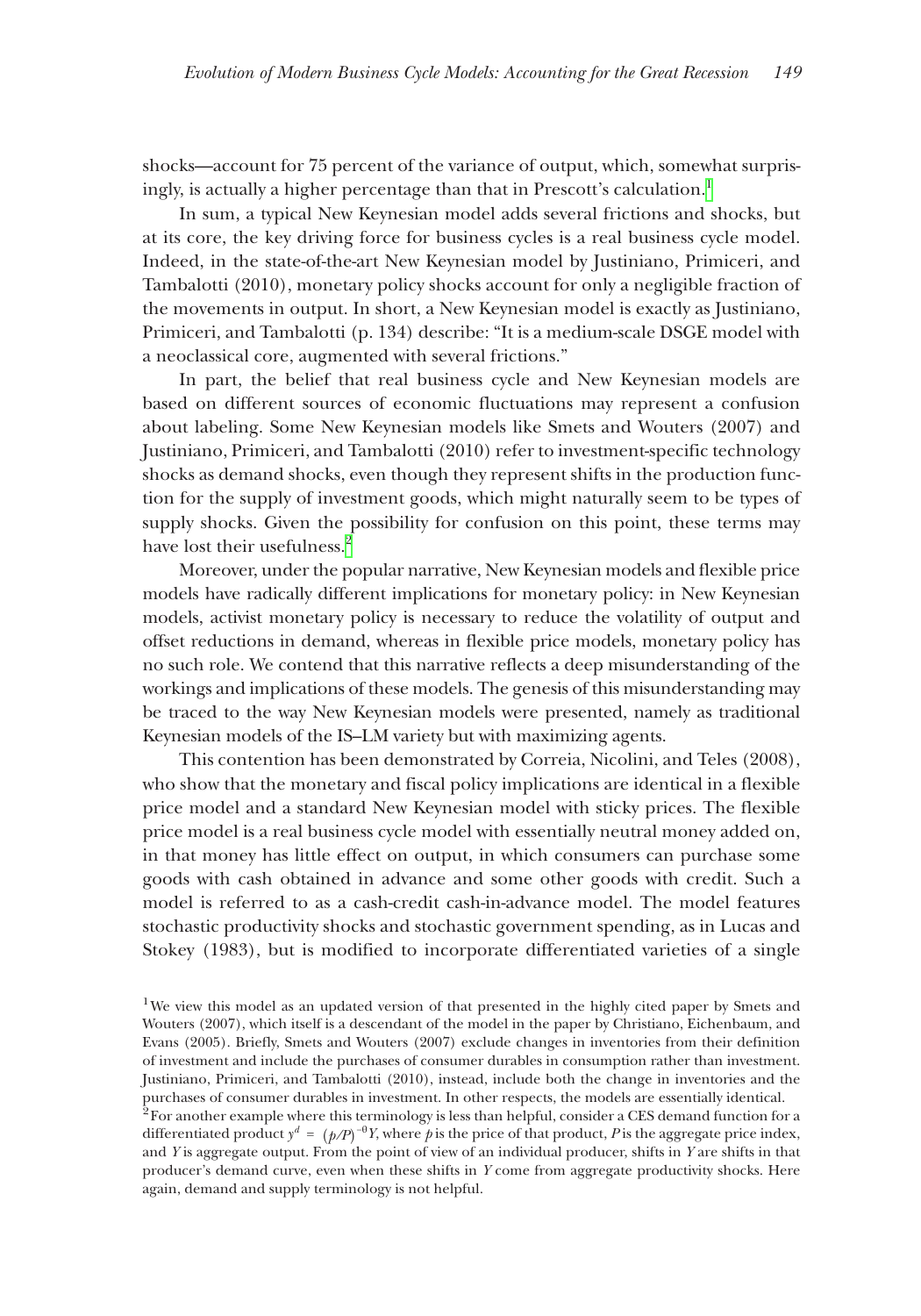shocks—account for 75 percent of the variance of output, which, somewhat surprisingly, is actually a higher percentage than that in Prescott's calculation.<sup>1</sup>

In sum, a typical New Keynesian model adds several frictions and shocks, but at its core, the key driving force for business cycles is a real business cycle model. Indeed, in the state-of-the-art New Keynesian model by Justiniano, Primiceri, and Tambalotti (2010), monetary policy shocks account for only a negligible fraction of the movements in output. In short, a New Keynesian model is exactly as Justiniano, Primiceri, and Tambalotti (p. 134) describe: "It is a medium-scale DSGE model with a neoclassical core, augmented with several frictions."

In part, the belief that real business cycle and New Keynesian models are based on different sources of economic fluctuations may represent a confusion about labeling. Some New Keynesian models like Smets and Wouters (2007) and Justiniano, Primiceri, and Tambalotti (2010) refer to investment-specific technology shocks as demand shocks, even though they represent shifts in the production function for the supply of investment goods, which might naturally seem to be types of supply shocks. Given the possibility for confusion on this point, these terms may have lost their usefulness.<sup>[2](#page-8-1)</sup>

Moreover, under the popular narrative, New Keynesian models and flexible price models have radically different implications for monetary policy: in New Keynesian models, activist monetary policy is necessary to reduce the volatility of output and offset reductions in demand, whereas in flexible price models, monetary policy has no such role. We contend that this narrative reflects a deep misunderstanding of the workings and implications of these models. The genesis of this misunderstanding may be traced to the way New Keynesian models were presented, namely as traditional Keynesian models of the IS–LM variety but with maximizing agents.

This contention has been demonstrated by Correia, Nicolini, and Teles (2008), who show that the monetary and fiscal policy implications are identical in a flexible price model and a standard New Keynesian model with sticky prices. The flexible price model is a real business cycle model with essentially neutral money added on, in that money has little effect on output, in which consumers can purchase some goods with cash obtained in advance and some other goods with credit. Such a model is referred to as a cash-credit cash-in-advance model. The model features stochastic productivity shocks and stochastic government spending, as in Lucas and Stokey (1983), but is modified to incorporate differentiated varieties of a single

<span id="page-8-1"></span><span id="page-8-0"></span><sup>&</sup>lt;sup>1</sup>We view this model as an updated version of that presented in the highly cited paper by Smets and Wouters (2007), which itself is a descendant of the model in the paper by Christiano, Eichenbaum, and Evans (2005). Briefly, Smets and Wouters (2007) exclude changes in inventories from their definition of investment and include the purchases of consumer durables in consumption rather than investment. Justiniano, Primiceri, and Tambalotti (2010), instead, include both the change in inventories and the purchases of consumer durables in investment. In other respects, the models are essentially identical.<br><sup>2</sup>For another example where this terminology is less than helpful, consider a CES demand function for a differentiated product  $y^d = (p/P)^{-\theta} Y$ , where *p* is the price of that product, *P* is the aggregate price index, and *Y* is aggregate output. From the point of view of an individual producer, shifts in *Y* are shifts in that producer's demand curve, even when these shifts in *Y* come from aggregate productivity shocks. Here again, demand and supply terminology is not helpful.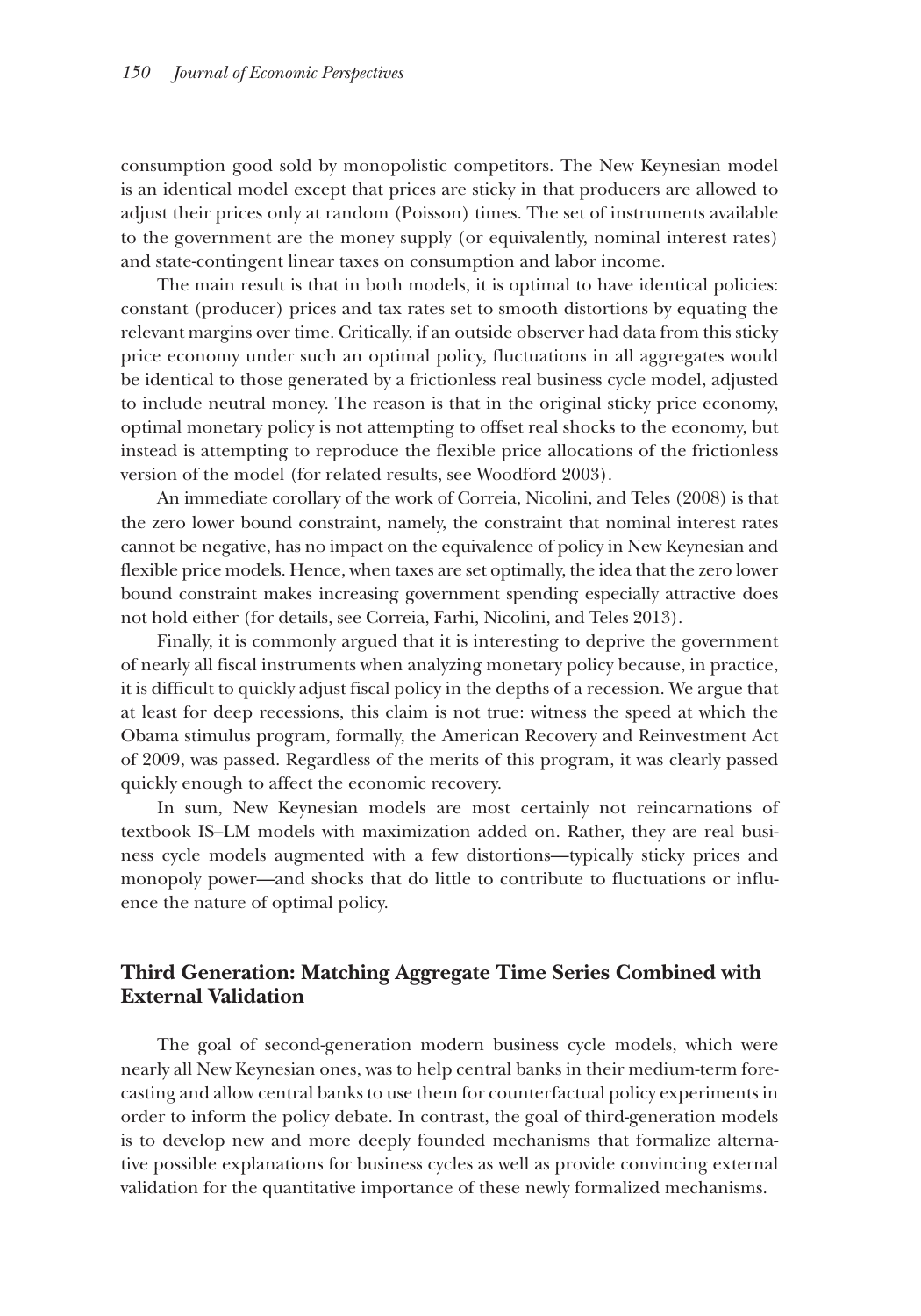consumption good sold by monopolistic competitors. The New Keynesian model is an identical model except that prices are sticky in that producers are allowed to adjust their prices only at random (Poisson) times. The set of instruments available to the government are the money supply (or equivalently, nominal interest rates) and state-contingent linear taxes on consumption and labor income.

The main result is that in both models, it is optimal to have identical policies: constant (producer) prices and tax rates set to smooth distortions by equating the relevant margins over time. Critically, if an outside observer had data from this sticky price economy under such an optimal policy, fluctuations in all aggregates would be identical to those generated by a frictionless real business cycle model, adjusted to include neutral money. The reason is that in the original sticky price economy, optimal monetary policy is not attempting to offset real shocks to the economy, but instead is attempting to reproduce the flexible price allocations of the frictionless version of the model (for related results, see Woodford 2003).

An immediate corollary of the work of Correia, Nicolini, and Teles (2008) is that the zero lower bound constraint, namely, the constraint that nominal interest rates cannot be negative, has no impact on the equivalence of policy in New Keynesian and flexible price models. Hence, when taxes are set optimally, the idea that the zero lower bound constraint makes increasing government spending especially attractive does not hold either (for details, see Correia, Farhi, Nicolini, and Teles 2013).

Finally, it is commonly argued that it is interesting to deprive the government of nearly all fiscal instruments when analyzing monetary policy because, in practice, it is difficult to quickly adjust fiscal policy in the depths of a recession. We argue that at least for deep recessions, this claim is not true: witness the speed at which the Obama stimulus program, formally, the American Recovery and Reinvestment Act of 2009, was passed. Regardless of the merits of this program, it was clearly passed quickly enough to affect the economic recovery.

In sum, New Keynesian models are most certainly not reincarnations of textbook IS–LM models with maximization added on. Rather, they are real business cycle models augmented with a few distortions—typically sticky prices and monopoly power—and shocks that do little to contribute to fluctuations or influence the nature of optimal policy.

# **Third Generation: Matching Aggregate Time Series Combined with External Validation**

The goal of second-generation modern business cycle models, which were nearly all New Keynesian ones, was to help central banks in their medium-term forecasting and allow central banks to use them for counterfactual policy experiments in order to inform the policy debate. In contrast, the goal of third-generation models is to develop new and more deeply founded mechanisms that formalize alternative possible explanations for business cycles as well as provide convincing external validation for the quantitative importance of these newly formalized mechanisms.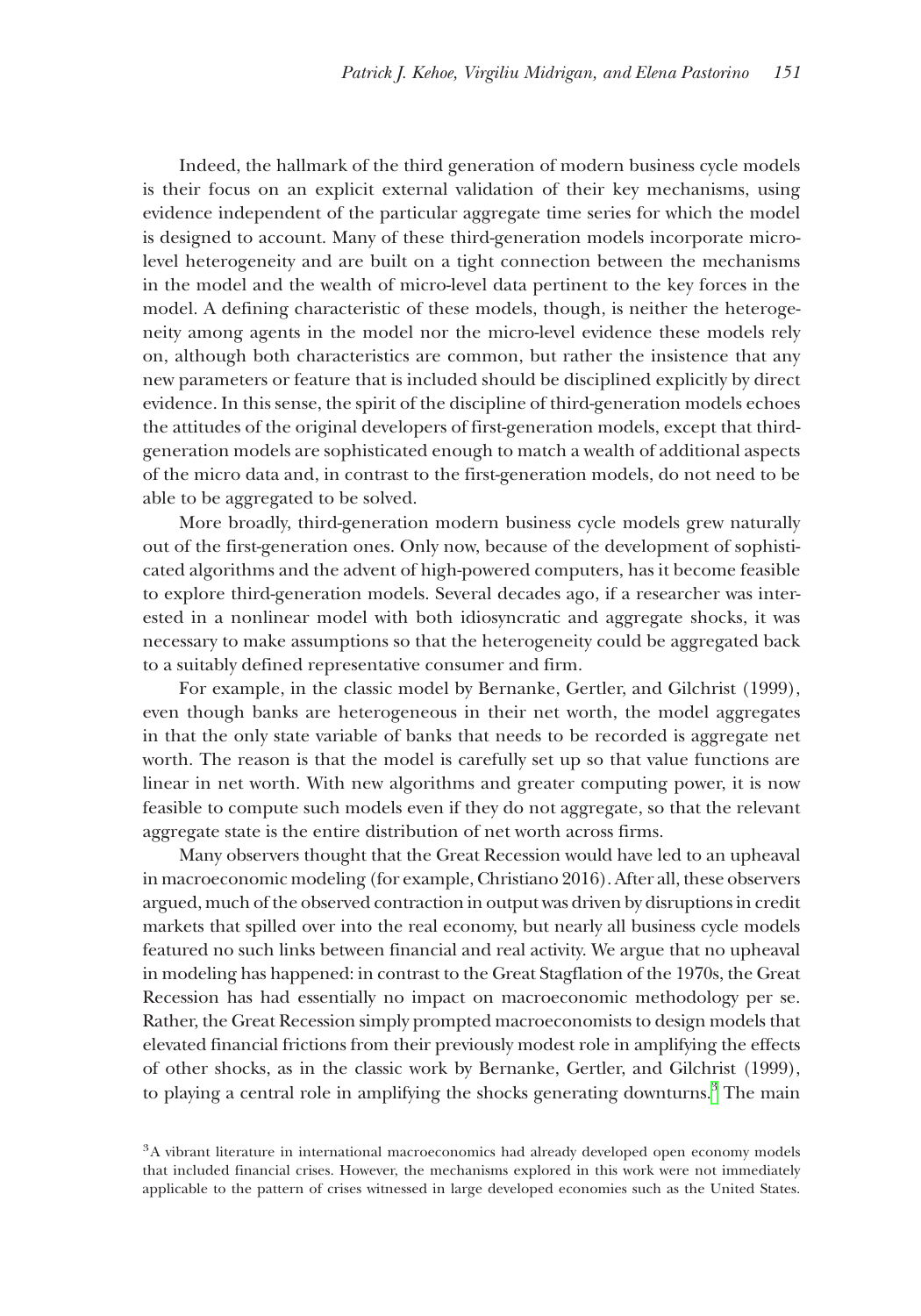Indeed, the hallmark of the third generation of modern business cycle models is their focus on an explicit external validation of their key mechanisms, using evidence independent of the particular aggregate time series for which the model is designed to account. Many of these third-generation models incorporate microlevel heterogeneity and are built on a tight connection between the mechanisms in the model and the wealth of micro-level data pertinent to the key forces in the model. A defining characteristic of these models, though, is neither the heterogeneity among agents in the model nor the micro-level evidence these models rely on, although both characteristics are common, but rather the insistence that any new parameters or feature that is included should be disciplined explicitly by direct evidence. In this sense, the spirit of the discipline of third-generation models echoes the attitudes of the original developers of first-generation models, except that thirdgeneration models are sophisticated enough to match a wealth of additional aspects of the micro data and, in contrast to the first-generation models, do not need to be able to be aggregated to be solved.

More broadly, third-generation modern business cycle models grew naturally out of the first-generation ones. Only now, because of the development of sophisticated algorithms and the advent of high-powered computers, has it become feasible to explore third-generation models. Several decades ago, if a researcher was interested in a nonlinear model with both idiosyncratic and aggregate shocks, it was necessary to make assumptions so that the heterogeneity could be aggregated back to a suitably defined representative consumer and firm.

For example, in the classic model by Bernanke, Gertler, and Gilchrist (1999), even though banks are heterogeneous in their net worth, the model aggregates in that the only state variable of banks that needs to be recorded is aggregate net worth. The reason is that the model is carefully set up so that value functions are linear in net worth. With new algorithms and greater computing power, it is now feasible to compute such models even if they do not aggregate, so that the relevant aggregate state is the entire distribution of net worth across firms.

Many observers thought that the Great Recession would have led to an upheaval in macroeconomic modeling (for example, Christiano 2016). After all, these observers argued, much of the observed contraction in output was driven by disruptions in credit markets that spilled over into the real economy, but nearly all business cycle models featured no such links between financial and real activity. We argue that no upheaval in modeling has happened: in contrast to the Great Stagflation of the 1970s, the Great Recession has had essentially no impact on macroeconomic methodology per se. Rather, the Great Recession simply prompted macroeconomists to design models that elevated financial frictions from their previously modest role in amplifying the effects of other shocks, as in the classic work by Bernanke, Gertler, and Gilchrist (1999), to playing a central role in amplifying the shocks generating downturns.<sup>3</sup> The main

<span id="page-10-0"></span><sup>3</sup>A vibrant literature in international macroeconomics had already developed open economy models that included financial crises. However, the mechanisms explored in this work were not immediately applicable to the pattern of crises witnessed in large developed economies such as the United States.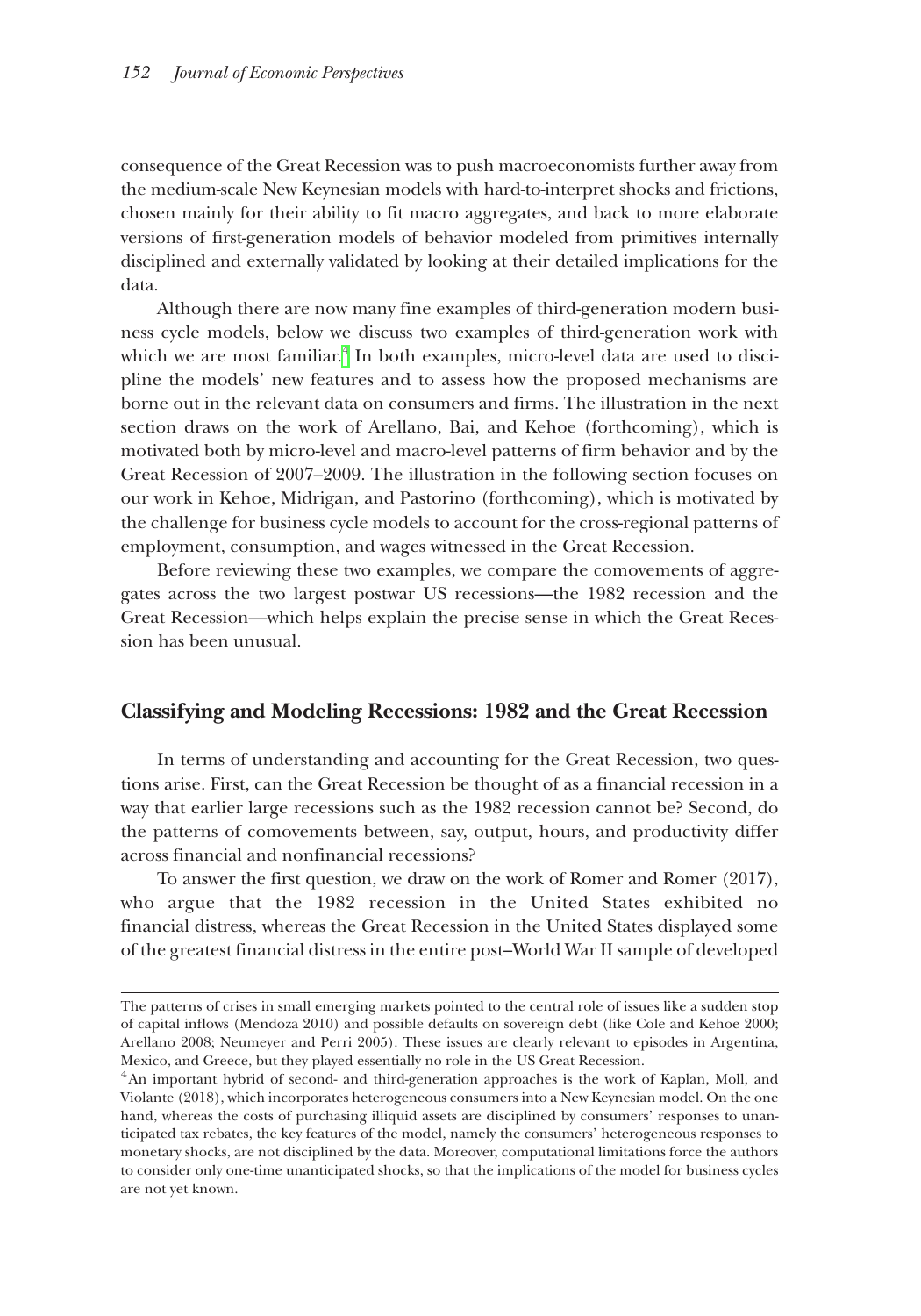consequence of the Great Recession was to push macroeconomists further away from the medium-scale New Keynesian models with hard-to-interpret shocks and frictions, chosen mainly for their ability to fit macro aggregates, and back to more elaborate versions of first-generation models of behavior modeled from primitives internally disciplined and externally validated by looking at their detailed implications for the data.

Although there are now many fine examples of third-generation modern business cycle models, below we discuss two examples of third-generation work with which we are most familiar.<sup>[4](#page-11-0)</sup> In both examples, micro-level data are used to discipline the models' new features and to assess how the proposed mechanisms are borne out in the relevant data on consumers and firms. The illustration in the next section draws on the work of Arellano, Bai, and Kehoe (forthcoming), which is motivated both by micro-level and macro-level patterns of firm behavior and by the Great Recession of 2007–2009. The illustration in the following section focuses on our work in Kehoe, Midrigan, and Pastorino (forthcoming), which is motivated by the challenge for business cycle models to account for the cross-regional patterns of employment, consumption, and wages witnessed in the Great Recession.

Before reviewing these two examples, we compare the comovements of aggregates across the two largest postwar US recessions—the 1982 recession and the Great Recession—which helps explain the precise sense in which the Great Recession has been unusual.

## **Classifying and Modeling Recessions: 1982 and the Great Recession**

In terms of understanding and accounting for the Great Recession, two questions arise. First, can the Great Recession be thought of as a financial recession in a way that earlier large recessions such as the 1982 recession cannot be? Second, do the patterns of comovements between, say, output, hours, and productivity differ across financial and nonfinancial recessions?

To answer the first question, we draw on the work of Romer and Romer (2017), who argue that the 1982 recession in the United States exhibited no financial distress, whereas the Great Recession in the United States displayed some of the greatest financial distress in the entire post–World War II sample of developed

The patterns of crises in small emerging markets pointed to the central role of issues like a sudden stop of capital inflows (Mendoza 2010) and possible defaults on sovereign debt (like Cole and Kehoe 2000; Arellano 2008; Neumeyer and Perri 2005). These issues are clearly relevant to episodes in Argentina, Mexico, and Greece, but they played essentially no role in the US Great Recession.

<span id="page-11-0"></span><sup>4</sup>An important hybrid of second- and third-generation approaches is the work of Kaplan, Moll, and Violante (2018), which incorporates heterogeneous consumers into a New Keynesian model. On the one hand, whereas the costs of purchasing illiquid assets are disciplined by consumers' responses to unanticipated tax rebates, the key features of the model, namely the consumers' heterogeneous responses to monetary shocks, are not disciplined by the data. Moreover, computational limitations force the authors to consider only one-time unanticipated shocks, so that the implications of the model for business cycles are not yet known.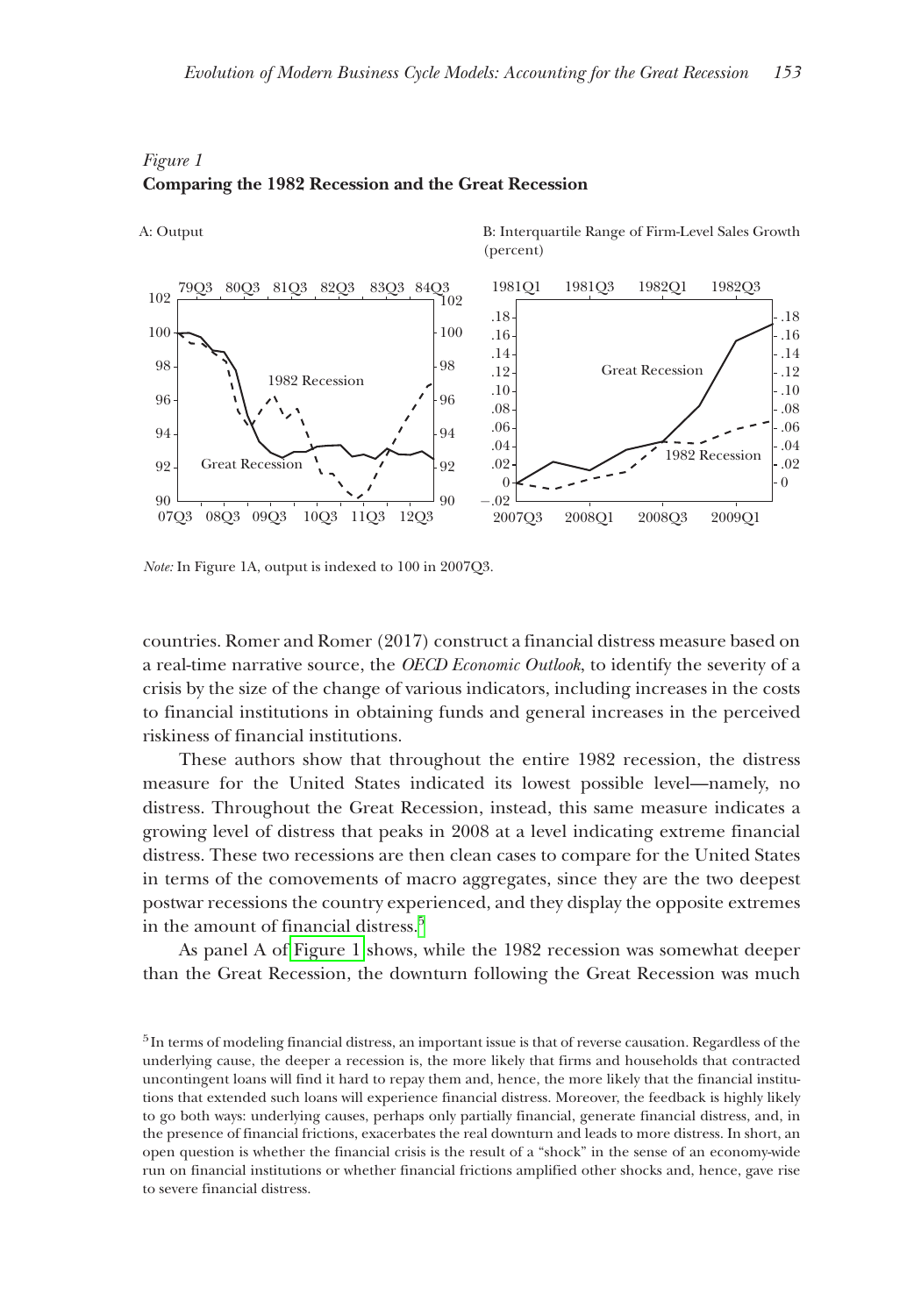# *Figure 1* **Comparing the 1982 Recession and the Great Recession**

A: Output

B: Interquartile Range of Firm-Level Sales Growth (percent)



*Note:* In Figure 1A, output is indexed to 100 in 2007Q3.

countries. Romer and Romer (2017) construct a financial distress measure based on a real-time narrative source, the *OECD Economic Outlook*, to identify the severity of a crisis by the size of the change of various indicators, including increases in the costs to financial institutions in obtaining funds and general increases in the perceived riskiness of financial institutions.

These authors show that throughout the entire 1982 recession, the distress measure for the United States indicated its lowest possible level—namely, no distress. Throughout the Great Recession, instead, this same measure indicates a growing level of distress that peaks in 2008 at a level indicating extreme financial distress. These two recessions are then clean cases to compare for the United States in terms of the comovements of macro aggregates, since they are the two deepest postwar recessions the country experienced, and they display the opposite extremes in the amount of financial distress.<sup>[5](#page-12-0)</sup>

As panel A of Figure 1 shows, while the 1982 recession was somewhat deeper than the Great Recession, the downturn following the Great Recession was much

<span id="page-12-0"></span> $<sup>5</sup>$ In terms of modeling financial distress, an important issue is that of reverse causation. Regardless of the</sup> underlying cause, the deeper a recession is, the more likely that firms and households that contracted uncontingent loans will find it hard to repay them and, hence, the more likely that the financial institutions that extended such loans will experience financial distress. Moreover, the feedback is highly likely to go both ways: underlying causes, perhaps only partially financial, generate financial distress, and, in the presence of financial frictions, exacerbates the real downturn and leads to more distress. In short, an open question is whether the financial crisis is the result of a "shock" in the sense of an economy-wide run on financial institutions or whether financial frictions amplified other shocks and, hence, gave rise to severe financial distress.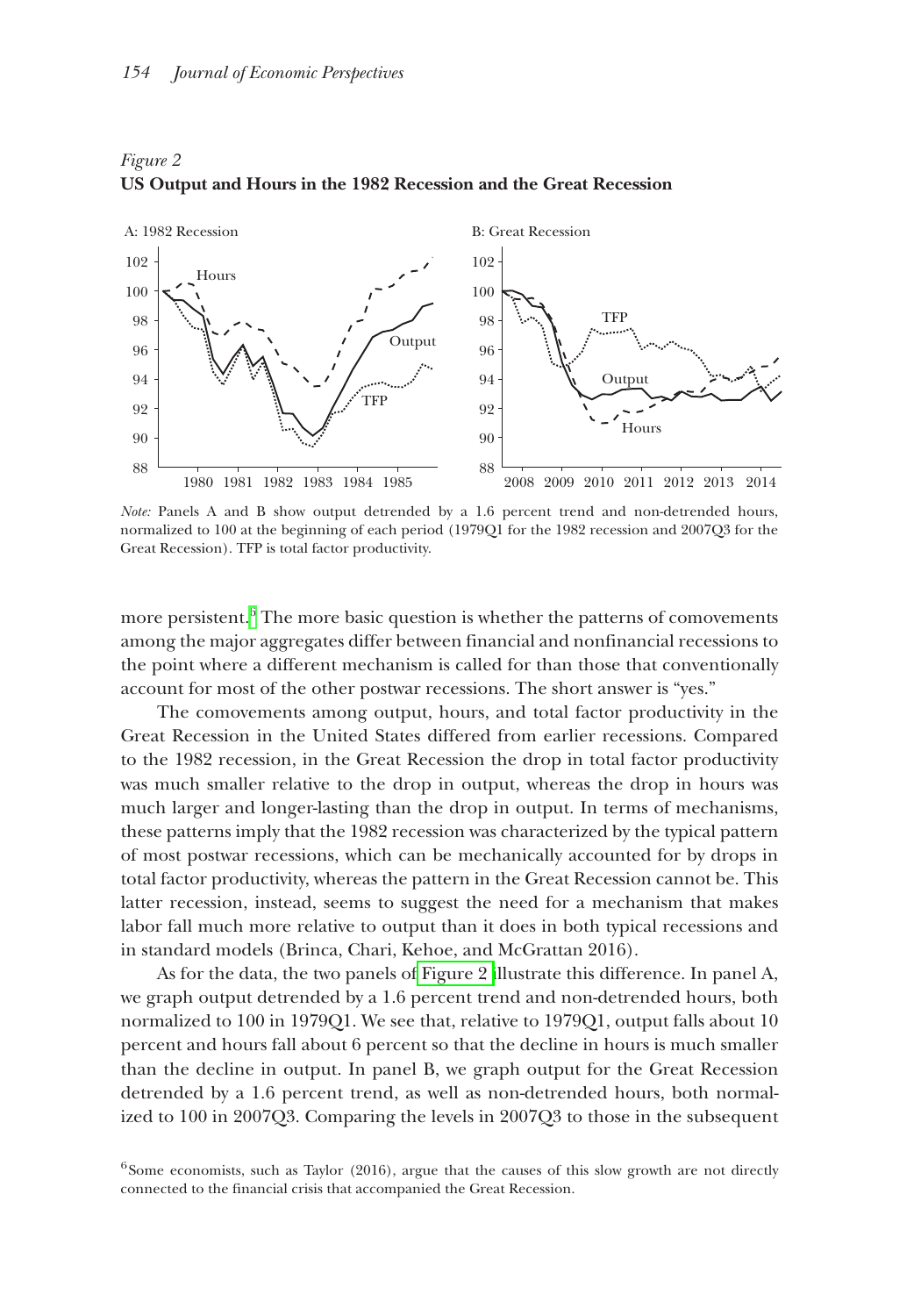

## *Figure 2* **US Output and Hours in the 1982 Recession and the Great Recession**

*Note:* Panels A and B show output detrended by a 1.6 percent trend and non-detrended hours, normalized to 100 at the beginning of each period (1979Q1 for the 1982 recession and 2007Q3 for the Great Recession). TFP is total factor productivity.

more persistent.<sup>[6](#page-13-0)</sup> The more basic question is whether the patterns of comovements among the major aggregates differ between financial and nonfinancial recessions to the point where a different mechanism is called for than those that conventionally account for most of the other postwar recessions. The short answer is "yes."

The comovements among output, hours, and total factor productivity in the Great Recession in the United States differed from earlier recessions. Compared to the 1982 recession, in the Great Recession the drop in total factor productivity was much smaller relative to the drop in output, whereas the drop in hours was much larger and longer-lasting than the drop in output. In terms of mechanisms, these patterns imply that the 1982 recession was characterized by the typical pattern of most postwar recessions, which can be mechanically accounted for by drops in total factor productivity, whereas the pattern in the Great Recession cannot be. This latter recession, instead, seems to suggest the need for a mechanism that makes labor fall much more relative to output than it does in both typical recessions and in standard models (Brinca, Chari, Kehoe, and McGrattan 2016).

As for the data, the two panels of Figure 2 illustrate this difference. In panel A, we graph output detrended by a 1.6 percent trend and non-detrended hours, both normalized to 100 in 1979Q1. We see that, relative to 1979Q1, output falls about 10 percent and hours fall about 6 percent so that the decline in hours is much smaller than the decline in output. In panel B, we graph output for the Great Recession detrended by a 1.6 percent trend, as well as non-detrended hours, both normalized to 100 in 2007Q3. Comparing the levels in 2007Q3 to those in the subsequent

<span id="page-13-0"></span> $6$ Some economists, such as Taylor (2016), argue that the causes of this slow growth are not directly connected to the financial crisis that accompanied the Great Recession.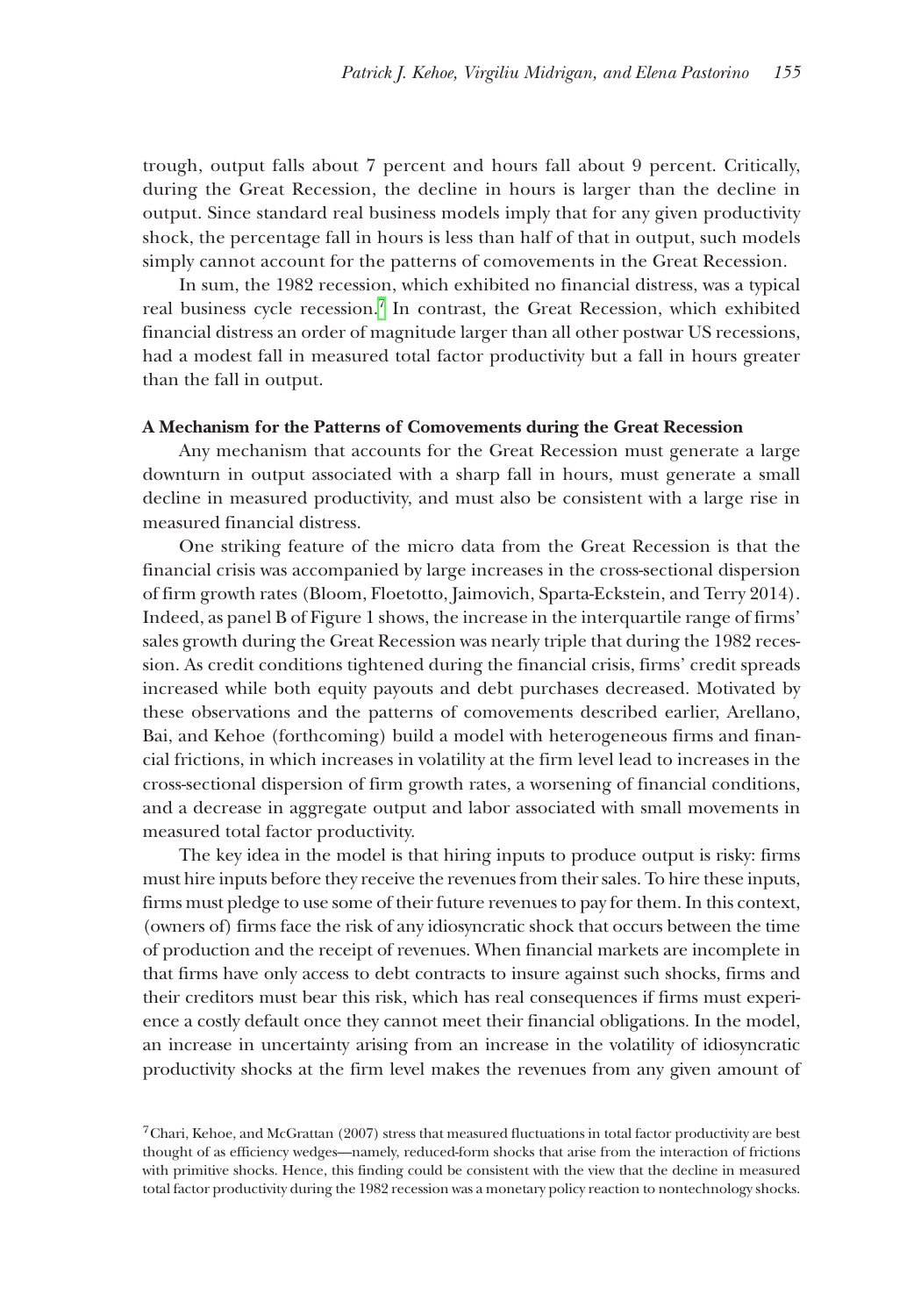trough, output falls about 7 percent and hours fall about 9 percent. Critically, during the Great Recession, the decline in hours is larger than the decline in output. Since standard real business models imply that for any given productivity shock, the percentage fall in hours is less than half of that in output, such models simply cannot account for the patterns of comovements in the Great Recession.

In sum, the 1982 recession, which exhibited no financial distress, was a typical real business cycle recession.<sup>7</sup> In contrast, the Great Recession, which exhibited financial distress an order of magnitude larger than all other postwar US recessions, had a modest fall in measured total factor productivity but a fall in hours greater than the fall in output.

#### **A Mechanism for the Patterns of Comovements during the Great Recession**

Any mechanism that accounts for the Great Recession must generate a large downturn in output associated with a sharp fall in hours, must generate a small decline in measured productivity, and must also be consistent with a large rise in measured financial distress.

One striking feature of the micro data from the Great Recession is that the financial crisis was accompanied by large increases in the cross-sectional dispersion of firm growth rates (Bloom, Floetotto, Jaimovich, Sparta-Eckstein, and Terry 2014). Indeed, as panel B of Figure 1 shows, the increase in the interquartile range of firms' sales growth during the Great Recession was nearly triple that during the 1982 recession. As credit conditions tightened during the financial crisis, firms' credit spreads increased while both equity payouts and debt purchases decreased. Motivated by these observations and the patterns of comovements described earlier, Arellano, Bai, and Kehoe (forthcoming) build a model with heterogeneous firms and financial frictions, in which increases in volatility at the firm level lead to increases in the cross-sectional dispersion of firm growth rates, a worsening of financial conditions, and a decrease in aggregate output and labor associated with small movements in measured total factor productivity.

The key idea in the model is that hiring inputs to produce output is risky: firms must hire inputs before they receive the revenues from their sales. To hire these inputs, firms must pledge to use some of their future revenues to pay for them. In this context, (owners of) firms face the risk of any idiosyncratic shock that occurs between the time of production and the receipt of revenues. When financial markets are incomplete in that firms have only access to debt contracts to insure against such shocks, firms and their creditors must bear this risk, which has real consequences if firms must experience a costly default once they cannot meet their financial obligations. In the model, an increase in uncertainty arising from an increase in the volatility of idiosyncratic productivity shocks at the firm level makes the revenues from any given amount of

<span id="page-14-0"></span> $7$ Chari, Kehoe, and McGrattan (2007) stress that measured fluctuations in total factor productivity are best thought of as efficiency wedges—namely, reduced-form shocks that arise from the interaction of frictions with primitive shocks. Hence, this finding could be consistent with the view that the decline in measured total factor productivity during the 1982 recession was a monetary policy reaction to nontechnology shocks.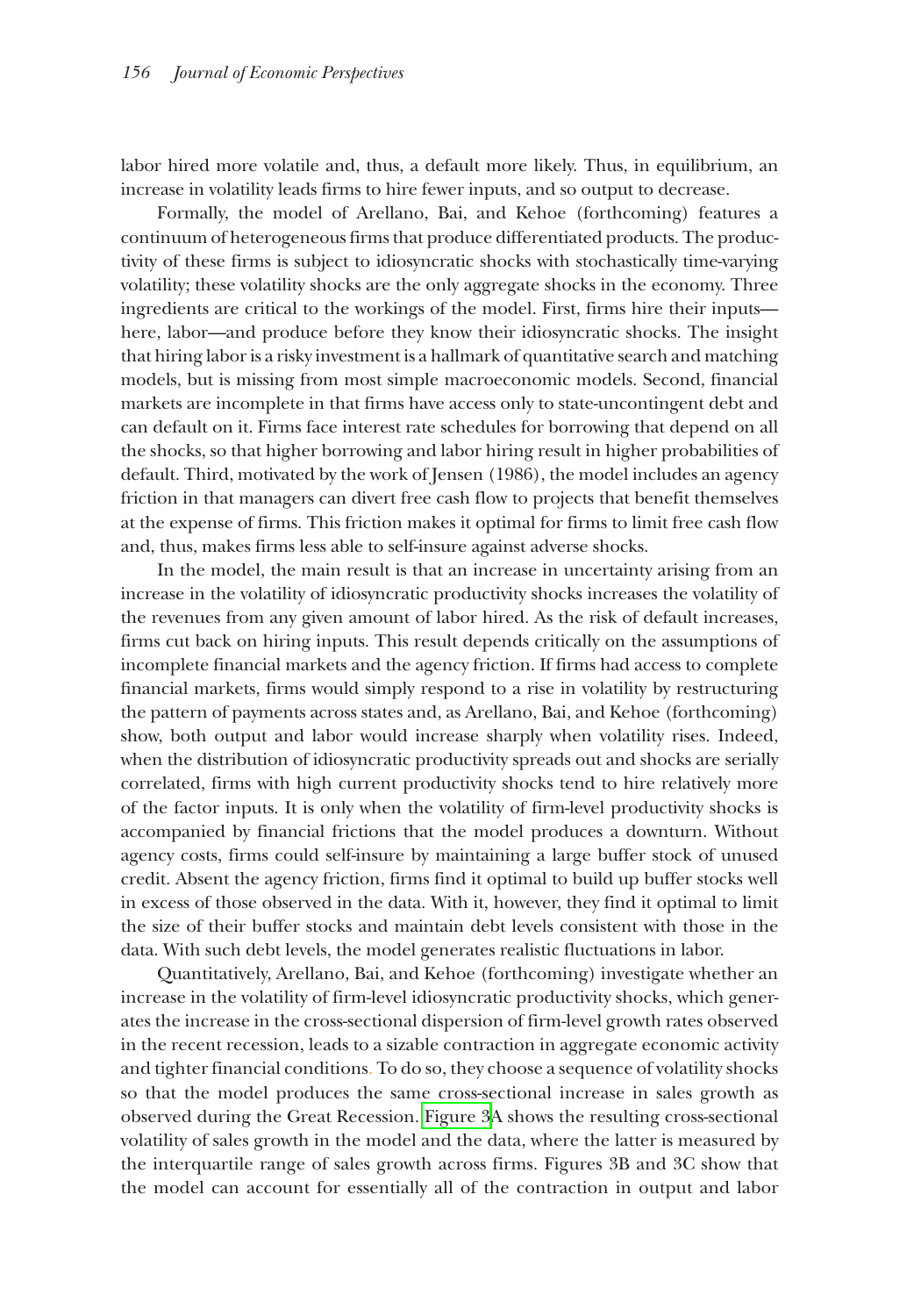labor hired more volatile and, thus, a default more likely. Thus, in equilibrium, an increase in volatility leads firms to hire fewer inputs, and so output to decrease.

Formally, the model of Arellano, Bai, and Kehoe (forthcoming) features a continuum of heterogeneous firms that produce differentiated products. The productivity of these firms is subject to idiosyncratic shocks with stochastically time-varying volatility; these volatility shocks are the only aggregate shocks in the economy. Three ingredients are critical to the workings of the model. First, firms hire their inputs here, labor—and produce before they know their idiosyncratic shocks. The insight that hiring labor is a risky investment is a hallmark of quantitative search and matching models, but is missing from most simple macroeconomic models. Second, financial markets are incomplete in that firms have access only to state-uncontingent debt and can default on it. Firms face interest rate schedules for borrowing that depend on all the shocks, so that higher borrowing and labor hiring result in higher probabilities of default. Third, motivated by the work of Jensen (1986), the model includes an agency friction in that managers can divert free cash flow to projects that benefit themselves at the expense of firms. This friction makes it optimal for firms to limit free cash flow and, thus, makes firms less able to self-insure against adverse shocks.

In the model, the main result is that an increase in uncertainty arising from an increase in the volatility of idiosyncratic productivity shocks increases the volatility of the revenues from any given amount of labor hired. As the risk of default increases, firms cut back on hiring inputs. This result depends critically on the assumptions of incomplete financial markets and the agency friction. If firms had access to complete financial markets, firms would simply respond to a rise in volatility by restructuring the pattern of payments across states and, as Arellano, Bai, and Kehoe (forthcoming) show, both output and labor would increase sharply when volatility rises. Indeed, when the distribution of idiosyncratic productivity spreads out and shocks are serially correlated, firms with high current productivity shocks tend to hire relatively more of the factor inputs. It is only when the volatility of firm-level productivity shocks is accompanied by financial frictions that the model produces a downturn. Without agency costs, firms could self-insure by maintaining a large buffer stock of unused credit. Absent the agency friction, firms find it optimal to build up buffer stocks well in excess of those observed in the data. With it, however, they find it optimal to limit the size of their buffer stocks and maintain debt levels consistent with those in the data. With such debt levels, the model generates realistic fluctuations in labor.

Quantitatively, Arellano, Bai, and Kehoe (forthcoming) investigate whether an increase in the volatility of firm-level idiosyncratic productivity shocks, which generates the increase in the cross-sectional dispersion of firm-level growth rates observed in the recent recession, leads to a sizable contraction in aggregate economic activity and tighter financial conditions. To do so, they choose a sequence of volatility shocks so that the model produces the same cross-sectional increase in sales growth as observed during the Great Recession. [Figure 3A](#page-16-0) shows the resulting cross-sectional volatility of sales growth in the model and the data, where the latter is measured by the interquartile range of sales growth across firms. Figures 3B and 3C show that the model can account for essentially all of the contraction in output and labor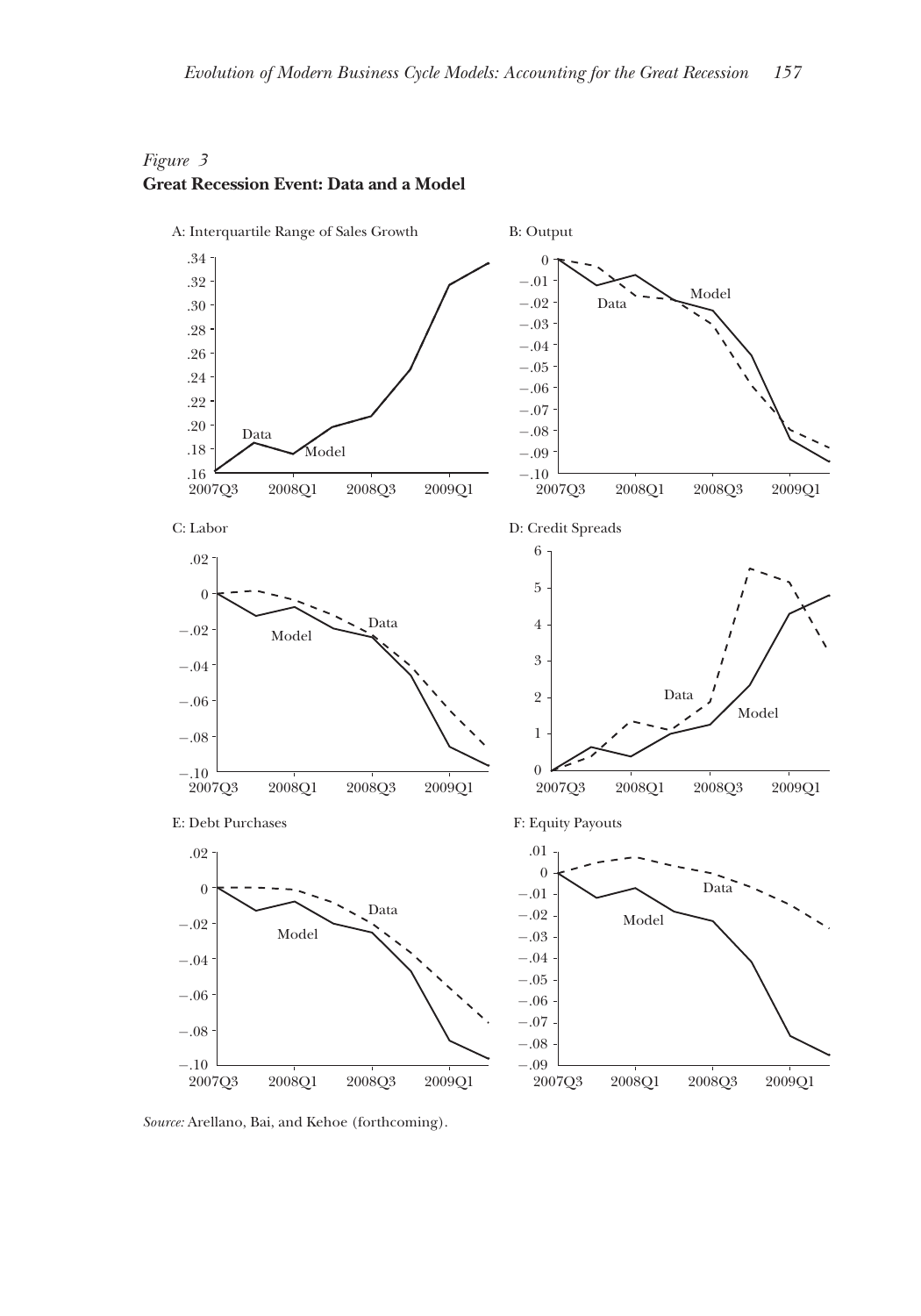

# <span id="page-16-0"></span>*Figure 3* **Great Recession Event: Data and a Model**

*Source:* Arellano, Bai, and Kehoe (forthcoming).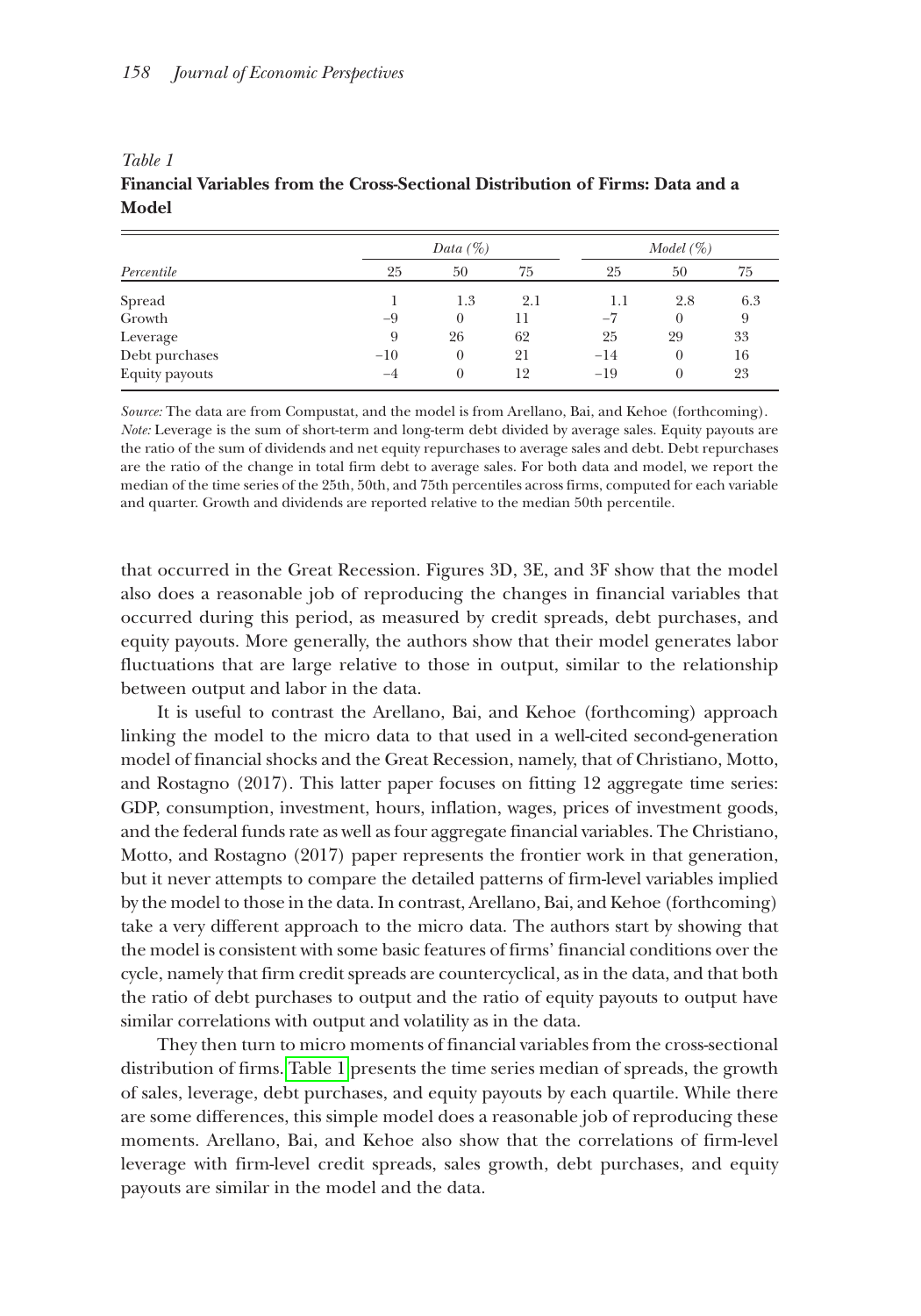| Percentile     | Data $(\%)$ |                |     | Model $(\% )$ |          |     |
|----------------|-------------|----------------|-----|---------------|----------|-----|
|                | 25          | 50             | 75  | 25            | 50       | 75  |
| Spread         |             | 1.3            | 2.1 | 1.1           | 2.8      | 6.3 |
| Growth         | -9          | $\theta$       | 11  | $-7$          | $\theta$ | 9   |
| Leverage       | 9           | 26             | 62  | 25            | 29       | 33  |
| Debt purchases | $-10$       | $\overline{0}$ | 21  | $-14$         | $\theta$ | 16  |
| Equity payouts | -4          | $\overline{0}$ | 12  | $-19$         | $\theta$ | 23  |

*Table 1* **Financial Variables from the Cross-Sectional Distribution of Firms: Data and a Model**

*Source:* The data are from Compustat, and the model is from Arellano, Bai, and Kehoe (forthcoming). *Note:* Leverage is the sum of short-term and long-term debt divided by average sales. Equity payouts are the ratio of the sum of dividends and net equity repurchases to average sales and debt. Debt repurchases are the ratio of the change in total firm debt to average sales. For both data and model, we report the median of the time series of the 25th, 50th, and 75th percentiles across firms, computed for each variable and quarter. Growth and dividends are reported relative to the median 50th percentile.

that occurred in the Great Recession. Figures 3D, 3E, and 3F show that the model also does a reasonable job of reproducing the changes in financial variables that occurred during this period, as measured by credit spreads, debt purchases, and equity payouts. More generally, the authors show that their model generates labor fluctuations that are large relative to those in output, similar to the relationship between output and labor in the data.

It is useful to contrast the Arellano, Bai, and Kehoe (forthcoming) approach linking the model to the micro data to that used in a well-cited second-generation model of financial shocks and the Great Recession, namely, that of Christiano, Motto, and Rostagno (2017). This latter paper focuses on fitting 12 aggregate time series: GDP, consumption, investment, hours, inflation, wages, prices of investment goods, and the federal funds rate as well as four aggregate financial variables. The Christiano, Motto, and Rostagno (2017) paper represents the frontier work in that generation, but it never attempts to compare the detailed patterns of firm-level variables implied by the model to those in the data. In contrast, Arellano, Bai, and Kehoe (forthcoming) take a very different approach to the micro data. The authors start by showing that the model is consistent with some basic features of firms' financial conditions over the cycle, namely that firm credit spreads are countercyclical, as in the data, and that both the ratio of debt purchases to output and the ratio of equity payouts to output have similar correlations with output and volatility as in the data.

They then turn to micro moments of financial variables from the cross-sectional distribution of firms. Table 1 presents the time series median of spreads, the growth of sales, leverage, debt purchases, and equity payouts by each quartile. While there are some differences, this simple model does a reasonable job of reproducing these moments. Arellano, Bai, and Kehoe also show that the correlations of firm-level leverage with firm-level credit spreads, sales growth, debt purchases, and equity payouts are similar in the model and the data.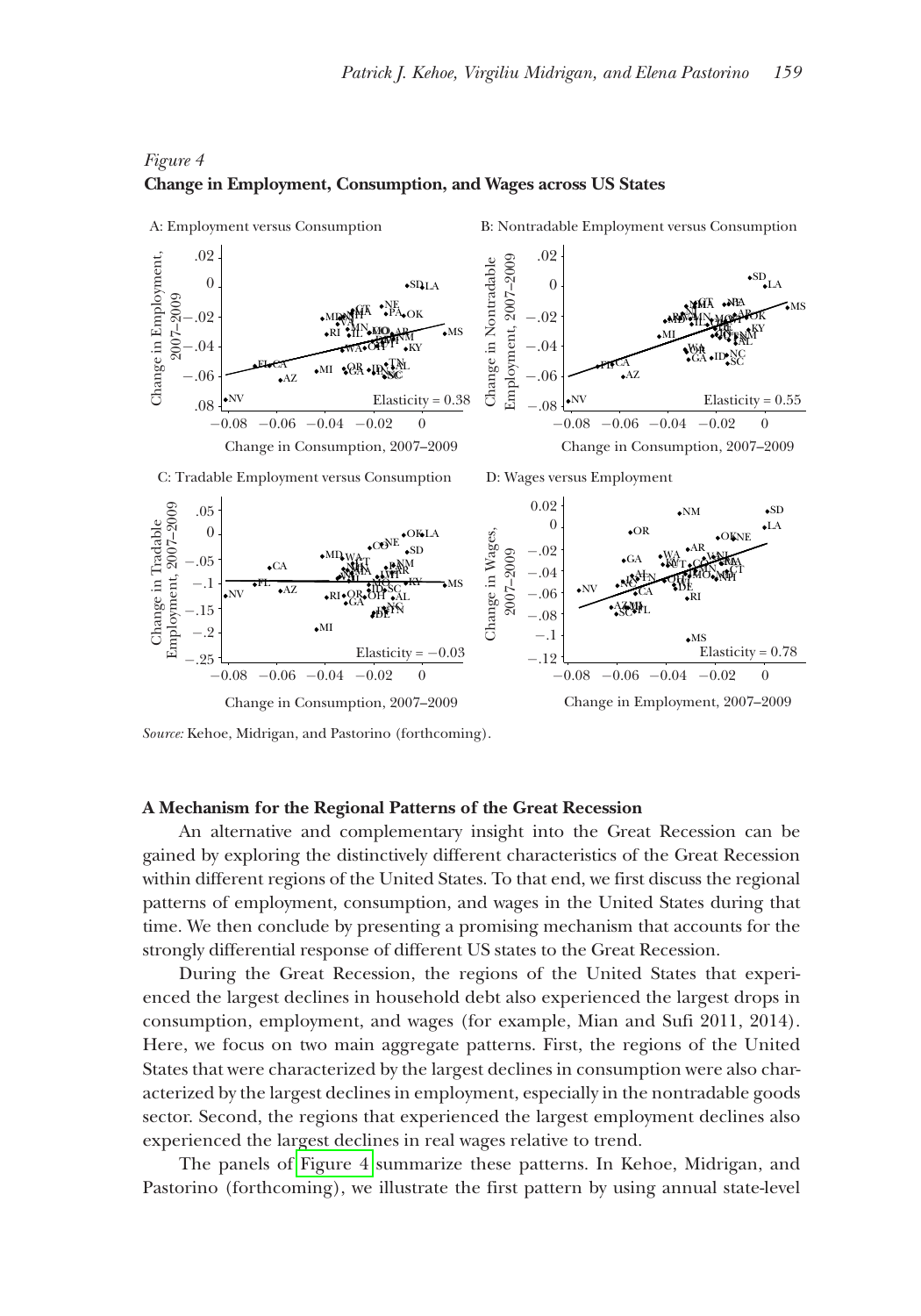

#### *Figure 4* **Change in Employment, Consumption, and Wages across US States**

*Source:* Kehoe, Midrigan, and Pastorino (forthcoming).

#### **A Mechanism for the Regional Patterns of the Great Recession**

An alternative and complementary insight into the Great Recession can be gained by exploring the distinctively different characteristics of the Great Recession within different regions of the United States. To that end, we first discuss the regional patterns of employment, consumption, and wages in the United States during that time. We then conclude by presenting a promising mechanism that accounts for the strongly differential response of different US states to the Great Recession.

During the Great Recession, the regions of the United States that experienced the largest declines in household debt also experienced the largest drops in consumption, employment, and wages (for example, Mian and Sufi 2011, 2014). Here, we focus on two main aggregate patterns. First, the regions of the United States that were characterized by the largest declines in consumption were also characterized by the largest declines in employment, especially in the nontradable goods sector. Second, the regions that experienced the largest employment declines also experienced the largest declines in real wages relative to trend.

The panels of Figure 4 summarize these patterns. In Kehoe, Midrigan, and Pastorino (forthcoming), we illustrate the first pattern by using annual state-level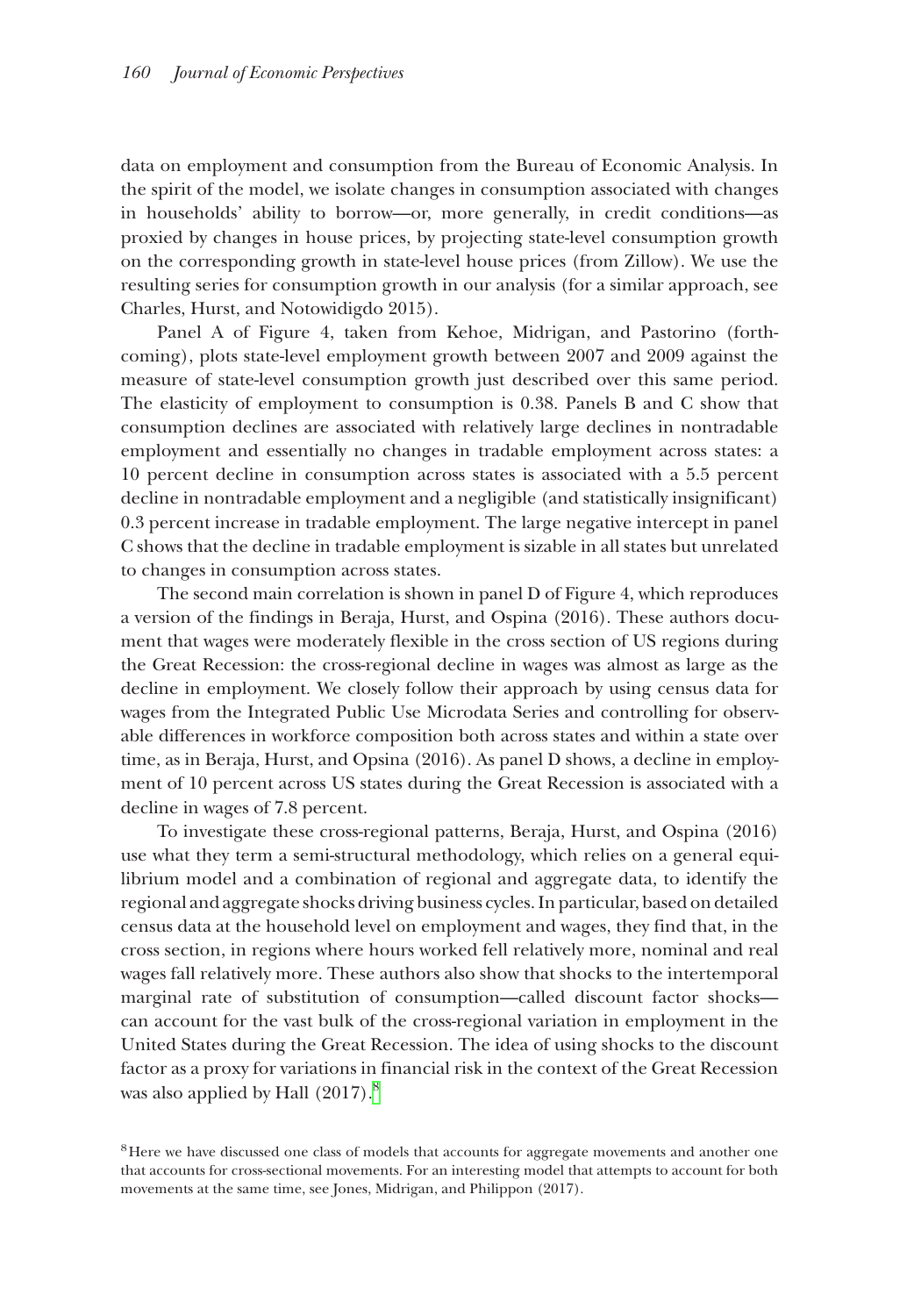data on employment and consumption from the Bureau of Economic Analysis. In the spirit of the model, we isolate changes in consumption associated with changes in households' ability to borrow—or, more generally, in credit conditions—as proxied by changes in house prices, by projecting state-level consumption growth on the corresponding growth in state-level house prices (from Zillow). We use the resulting series for consumption growth in our analysis (for a similar approach, see Charles, Hurst, and Notowidigdo 2015).

Panel A of Figure 4, taken from Kehoe, Midrigan, and Pastorino (forthcoming), plots state-level employment growth between 2007 and 2009 against the measure of state-level consumption growth just described over this same period. The elasticity of employment to consumption is 0.38. Panels B and C show that consumption declines are associated with relatively large declines in nontradable employment and essentially no changes in tradable employment across states: a 10 percent decline in consumption across states is associated with a 5.5 percent decline in nontradable employment and a negligible (and statistically insignificant) 0.3 percent increase in tradable employment. The large negative intercept in panel C shows that the decline in tradable employment is sizable in all states but unrelated to changes in consumption across states.

The second main correlation is shown in panel D of Figure 4, which reproduces a version of the findings in Beraja, Hurst, and Ospina (2016). These authors document that wages were moderately flexible in the cross section of US regions during the Great Recession: the cross-regional decline in wages was almost as large as the decline in employment. We closely follow their approach by using census data for wages from the Integrated Public Use Microdata Series and controlling for observable differences in workforce composition both across states and within a state over time, as in Beraja, Hurst, and Opsina (2016). As panel D shows, a decline in employment of 10 percent across US states during the Great Recession is associated with a decline in wages of 7.8 percent.

To investigate these cross-regional patterns, Beraja, Hurst, and Ospina (2016) use what they term a semi-structural methodology, which relies on a general equilibrium model and a combination of regional and aggregate data, to identify the regional and aggregate shocks driving business cycles. In particular, based on detailed census data at the household level on employment and wages, they find that, in the cross section, in regions where hours worked fell relatively more, nominal and real wages fall relatively more. These authors also show that shocks to the intertemporal marginal rate of substitution of consumption—called discount factor shocks can account for the vast bulk of the cross-regional variation in employment in the United States during the Great Recession. The idea of using shocks to the discount factor as a proxy for variations in financial risk in the context of the Great Recession was also applied by Hall  $(2017)$ .<sup>[8](#page-19-0)</sup>

<span id="page-19-0"></span><sup>&</sup>lt;sup>8</sup>Here we have discussed one class of models that accounts for aggregate movements and another one that accounts for cross-sectional movements. For an interesting model that attempts to account for both movements at the same time, see Jones, Midrigan, and Philippon (2017).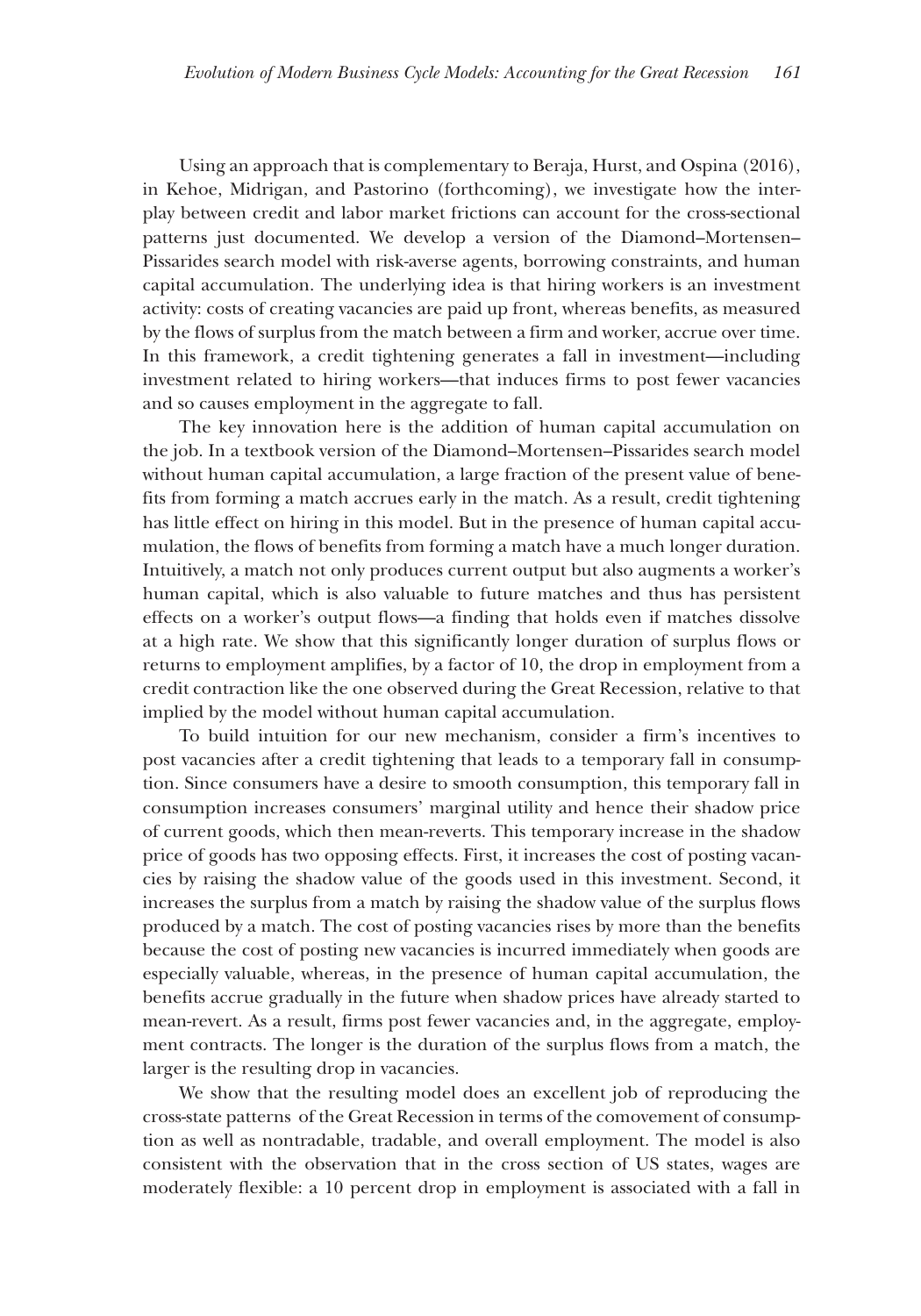Using an approach that is complementary to Beraja, Hurst, and Ospina (2016), in Kehoe, Midrigan, and Pastorino (forthcoming), we investigate how the interplay between credit and labor market frictions can account for the cross-sectional patterns just documented. We develop a version of the Diamond–Mortensen– Pissarides search model with risk-averse agents, borrowing constraints, and human capital accumulation. The underlying idea is that hiring workers is an investment activity: costs of creating vacancies are paid up front, whereas benefits, as measured by the flows of surplus from the match between a firm and worker, accrue over time. In this framework, a credit tightening generates a fall in investment—including investment related to hiring workers—that induces firms to post fewer vacancies and so causes employment in the aggregate to fall.

The key innovation here is the addition of human capital accumulation on the job. In a textbook version of the Diamond–Mortensen–Pissarides search model without human capital accumulation, a large fraction of the present value of benefits from forming a match accrues early in the match. As a result, credit tightening has little effect on hiring in this model. But in the presence of human capital accumulation, the flows of benefits from forming a match have a much longer duration. Intuitively, a match not only produces current output but also augments a worker's human capital, which is also valuable to future matches and thus has persistent effects on a worker's output flows—a finding that holds even if matches dissolve at a high rate. We show that this significantly longer duration of surplus flows or returns to employment amplifies, by a factor of 10, the drop in employment from a credit contraction like the one observed during the Great Recession, relative to that implied by the model without human capital accumulation.

To build intuition for our new mechanism, consider a firm's incentives to post vacancies after a credit tightening that leads to a temporary fall in consumption. Since consumers have a desire to smooth consumption, this temporary fall in consumption increases consumers' marginal utility and hence their shadow price of current goods, which then mean-reverts. This temporary increase in the shadow price of goods has two opposing effects. First, it increases the cost of posting vacancies by raising the shadow value of the goods used in this investment. Second, it increases the surplus from a match by raising the shadow value of the surplus flows produced by a match. The cost of posting vacancies rises by more than the benefits because the cost of posting new vacancies is incurred immediately when goods are especially valuable, whereas, in the presence of human capital accumulation, the benefits accrue gradually in the future when shadow prices have already started to mean-revert. As a result, firms post fewer vacancies and, in the aggregate, employment contracts. The longer is the duration of the surplus flows from a match, the larger is the resulting drop in vacancies.

We show that the resulting model does an excellent job of reproducing the cross-state patterns of the Great Recession in terms of the comovement of consumption as well as nontradable, tradable, and overall employment. The model is also consistent with the observation that in the cross section of US states, wages are moderately flexible: a 10 percent drop in employment is associated with a fall in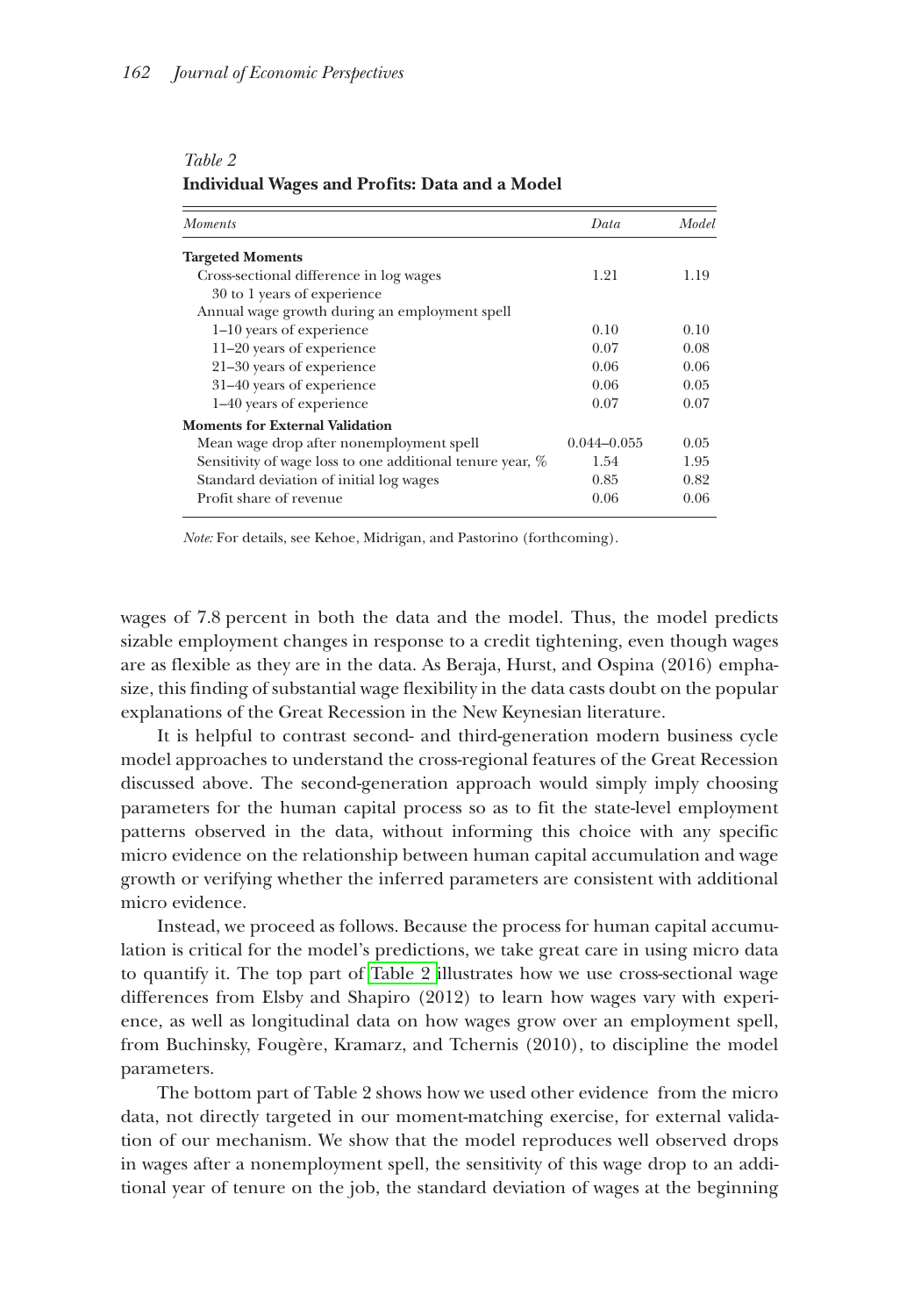| <i>Moments</i>                                            | Data            | Model |
|-----------------------------------------------------------|-----------------|-------|
| <b>Targeted Moments</b>                                   |                 |       |
| Cross-sectional difference in log wages                   | 1.21            | 1.19  |
| 30 to 1 years of experience                               |                 |       |
| Annual wage growth during an employment spell             |                 |       |
| 1–10 years of experience                                  | 0.10            | 0.10  |
| 11-20 years of experience                                 | 0.07            | 0.08  |
| 21-30 years of experience                                 | 0.06            | 0.06  |
| 31–40 years of experience                                 | 0.06            | 0.05  |
| 1–40 years of experience                                  | 0.07            | 0.07  |
| <b>Moments for External Validation</b>                    |                 |       |
| Mean wage drop after nonemployment spell                  | $0.044 - 0.055$ | 0.05  |
| Sensitivity of wage loss to one additional tenure year, % | 1.54            | 1.95  |
| Standard deviation of initial log wages                   | 0.85            | 0.82  |
| Profit share of revenue                                   | 0.06            | 0.06  |

## *Table 2* **Individual Wages and Profits: Data and a Model**

*Note:* For details, see Kehoe, Midrigan, and Pastorino (forthcoming).

wages of 7.8 percent in both the data and the model. Thus, the model predicts sizable employment changes in response to a credit tightening, even though wages are as flexible as they are in the data. As Beraja, Hurst, and Ospina (2016) emphasize, this finding of substantial wage flexibility in the data casts doubt on the popular explanations of the Great Recession in the New Keynesian literature.

It is helpful to contrast second- and third-generation modern business cycle model approaches to understand the cross-regional features of the Great Recession discussed above. The second-generation approach would simply imply choosing parameters for the human capital process so as to fit the state-level employment patterns observed in the data, without informing this choice with any specific micro evidence on the relationship between human capital accumulation and wage growth or verifying whether the inferred parameters are consistent with additional micro evidence.

Instead, we proceed as follows. Because the process for human capital accumulation is critical for the model's predictions, we take great care in using micro data to quantify it. The top part of Table 2 illustrates how we use cross-sectional wage differences from Elsby and Shapiro (2012) to learn how wages vary with experience, as well as longitudinal data on how wages grow over an employment spell, from Buchinsky, Fougère, Kramarz, and Tchernis (2010), to discipline the model parameters.

The bottom part of Table 2 shows how we used other evidence from the micro data, not directly targeted in our moment-matching exercise, for external validation of our mechanism. We show that the model reproduces well observed drops in wages after a nonemployment spell, the sensitivity of this wage drop to an additional year of tenure on the job, the standard deviation of wages at the beginning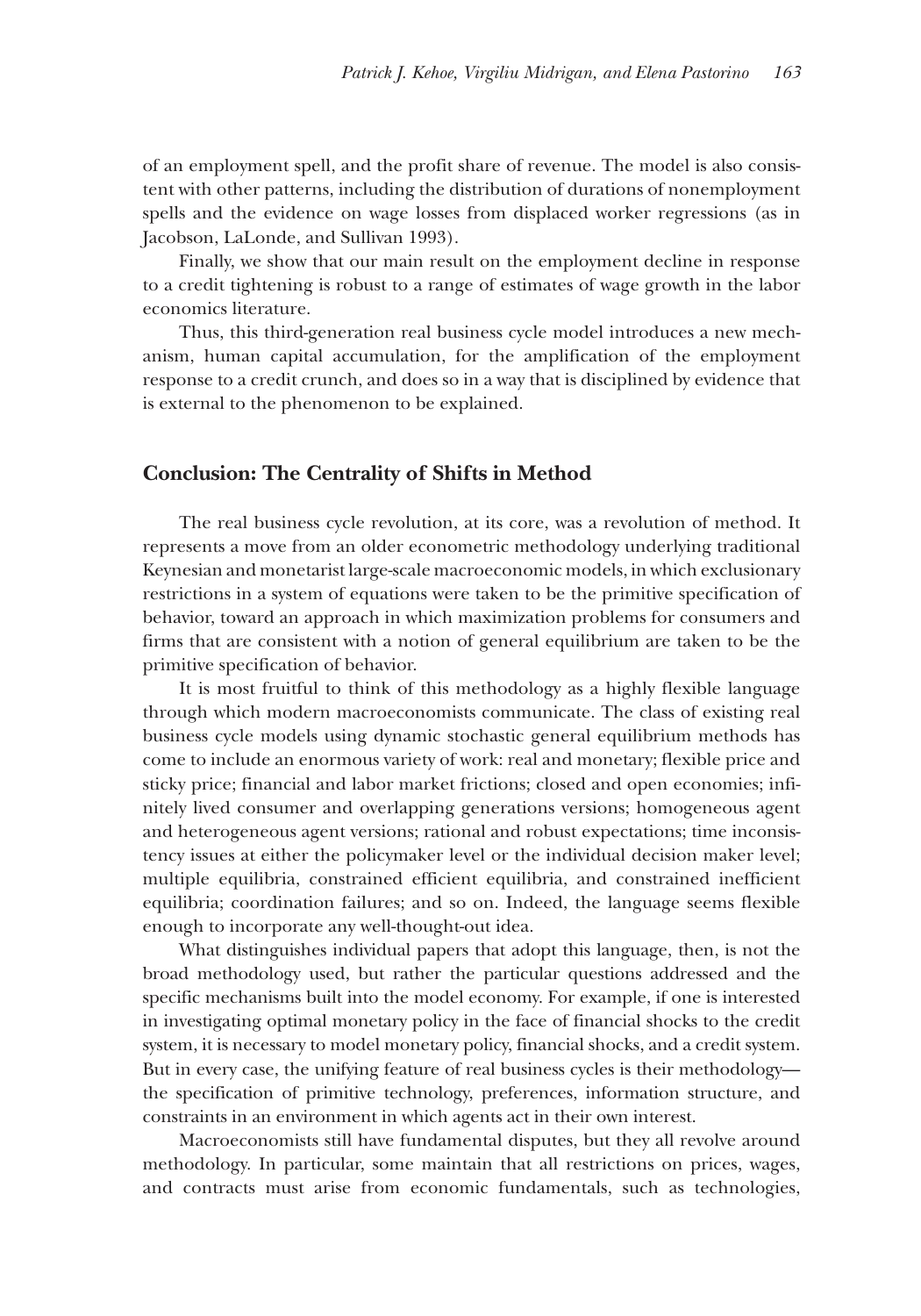of an employment spell, and the profit share of revenue. The model is also consistent with other patterns, including the distribution of durations of nonemployment spells and the evidence on wage losses from displaced worker regressions (as in Jacobson, LaLonde, and Sullivan 1993).

Finally, we show that our main result on the employment decline in response to a credit tightening is robust to a range of estimates of wage growth in the labor economics literature.

Thus, this third-generation real business cycle model introduces a new mechanism, human capital accumulation, for the amplification of the employment response to a credit crunch, and does so in a way that is disciplined by evidence that is external to the phenomenon to be explained.

## **Conclusion: The Centrality of Shifts in Method**

The real business cycle revolution, at its core, was a revolution of method. It represents a move from an older econometric methodology underlying traditional Keynesian and monetarist large-scale macroeconomic models, in which exclusionary restrictions in a system of equations were taken to be the primitive specification of behavior, toward an approach in which maximization problems for consumers and firms that are consistent with a notion of general equilibrium are taken to be the primitive specification of behavior.

It is most fruitful to think of this methodology as a highly flexible language through which modern macroeconomists communicate. The class of existing real business cycle models using dynamic stochastic general equilibrium methods has come to include an enormous variety of work: real and monetary; flexible price and sticky price; financial and labor market frictions; closed and open economies; infinitely lived consumer and overlapping generations versions; homogeneous agent and heterogeneous agent versions; rational and robust expectations; time inconsistency issues at either the policymaker level or the individual decision maker level; multiple equilibria, constrained efficient equilibria, and constrained inefficient equilibria; coordination failures; and so on. Indeed, the language seems flexible enough to incorporate any well-thought-out idea.

What distinguishes individual papers that adopt this language, then, is not the broad methodology used, but rather the particular questions addressed and the specific mechanisms built into the model economy. For example, if one is interested in investigating optimal monetary policy in the face of financial shocks to the credit system, it is necessary to model monetary policy, financial shocks, and a credit system. But in every case, the unifying feature of real business cycles is their methodology the specification of primitive technology, preferences, information structure, and constraints in an environment in which agents act in their own interest.

Macroeconomists still have fundamental disputes, but they all revolve around methodology. In particular, some maintain that all restrictions on prices, wages, and contracts must arise from economic fundamentals, such as technologies,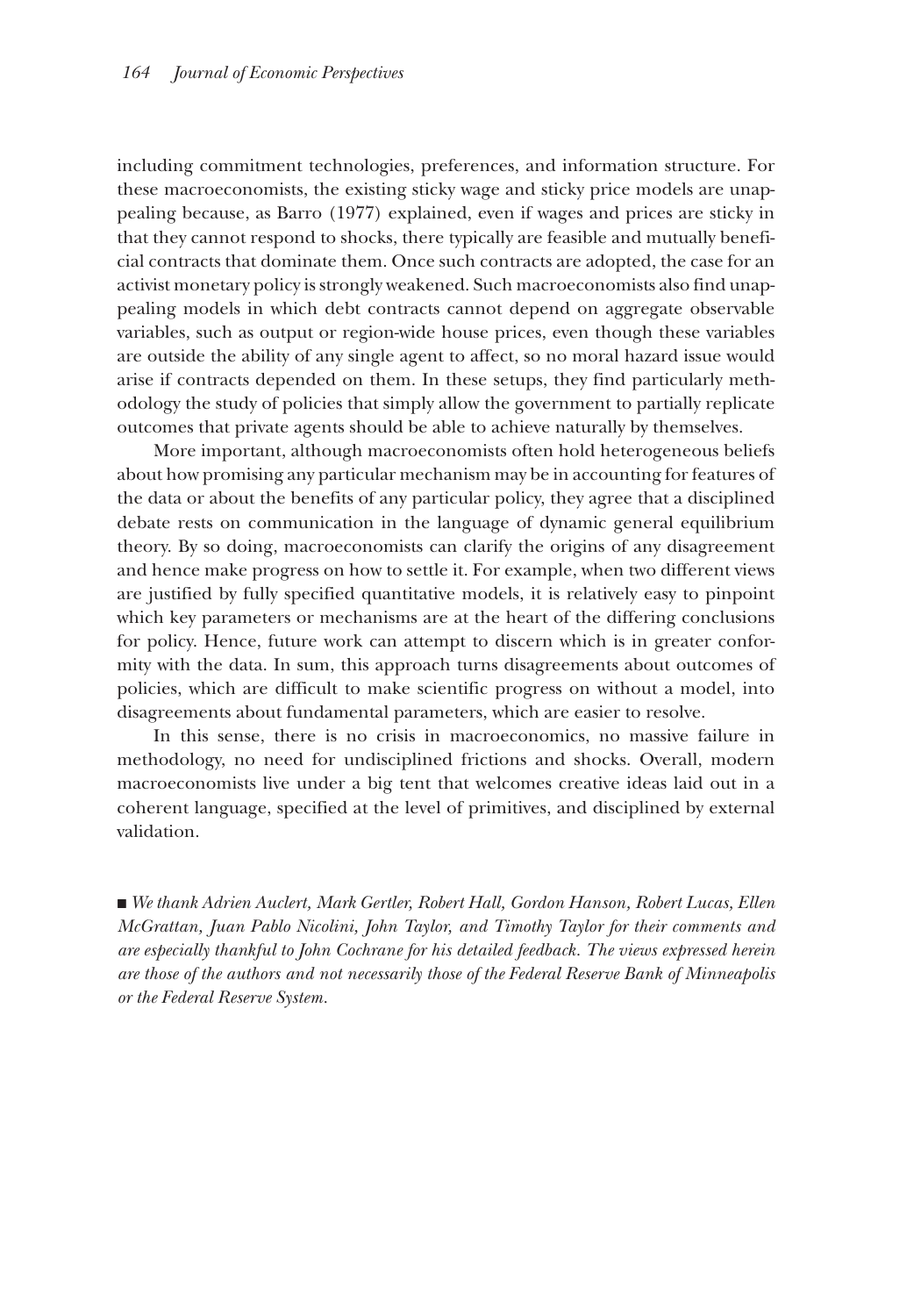including commitment technologies, preferences, and information structure. For these macroeconomists, the existing sticky wage and sticky price models are unappealing because, as Barro (1977) explained, even if wages and prices are sticky in that they cannot respond to shocks, there typically are feasible and mutually beneficial contracts that dominate them. Once such contracts are adopted, the case for an activist monetary policy is strongly weakened. Such macroeconomists also find unappealing models in which debt contracts cannot depend on aggregate observable variables, such as output or region-wide house prices, even though these variables are outside the ability of any single agent to affect, so no moral hazard issue would arise if contracts depended on them. In these setups, they find particularly methodology the study of policies that simply allow the government to partially replicate outcomes that private agents should be able to achieve naturally by themselves.

More important, although macroeconomists often hold heterogeneous beliefs about how promising any particular mechanism may be in accounting for features of the data or about the benefits of any particular policy, they agree that a disciplined debate rests on communication in the language of dynamic general equilibrium theory. By so doing, macroeconomists can clarify the origins of any disagreement and hence make progress on how to settle it. For example, when two different views are justified by fully specified quantitative models, it is relatively easy to pinpoint which key parameters or mechanisms are at the heart of the differing conclusions for policy. Hence, future work can attempt to discern which is in greater conformity with the data. In sum, this approach turns disagreements about outcomes of policies, which are difficult to make scientific progress on without a model, into disagreements about fundamental parameters, which are easier to resolve.

In this sense, there is no crisis in macroeconomics, no massive failure in methodology, no need for undisciplined frictions and shocks. Overall, modern macroeconomists live under a big tent that welcomes creative ideas laid out in a coherent language, specified at the level of primitives, and disciplined by external validation.

■ *We thank Adrien Auclert, Mark Gertler, Robert Hall, Gordon Hanson, Robert Lucas, Ellen McGrattan, Juan Pablo Nicolini, John Taylor, and Timothy Taylor for their comments and are especially thankful to John Cochrane for his detailed feedback. The views expressed herein are those of the authors and not necessarily those of the Federal Reserve Bank of Minneapolis or the Federal Reserve System.*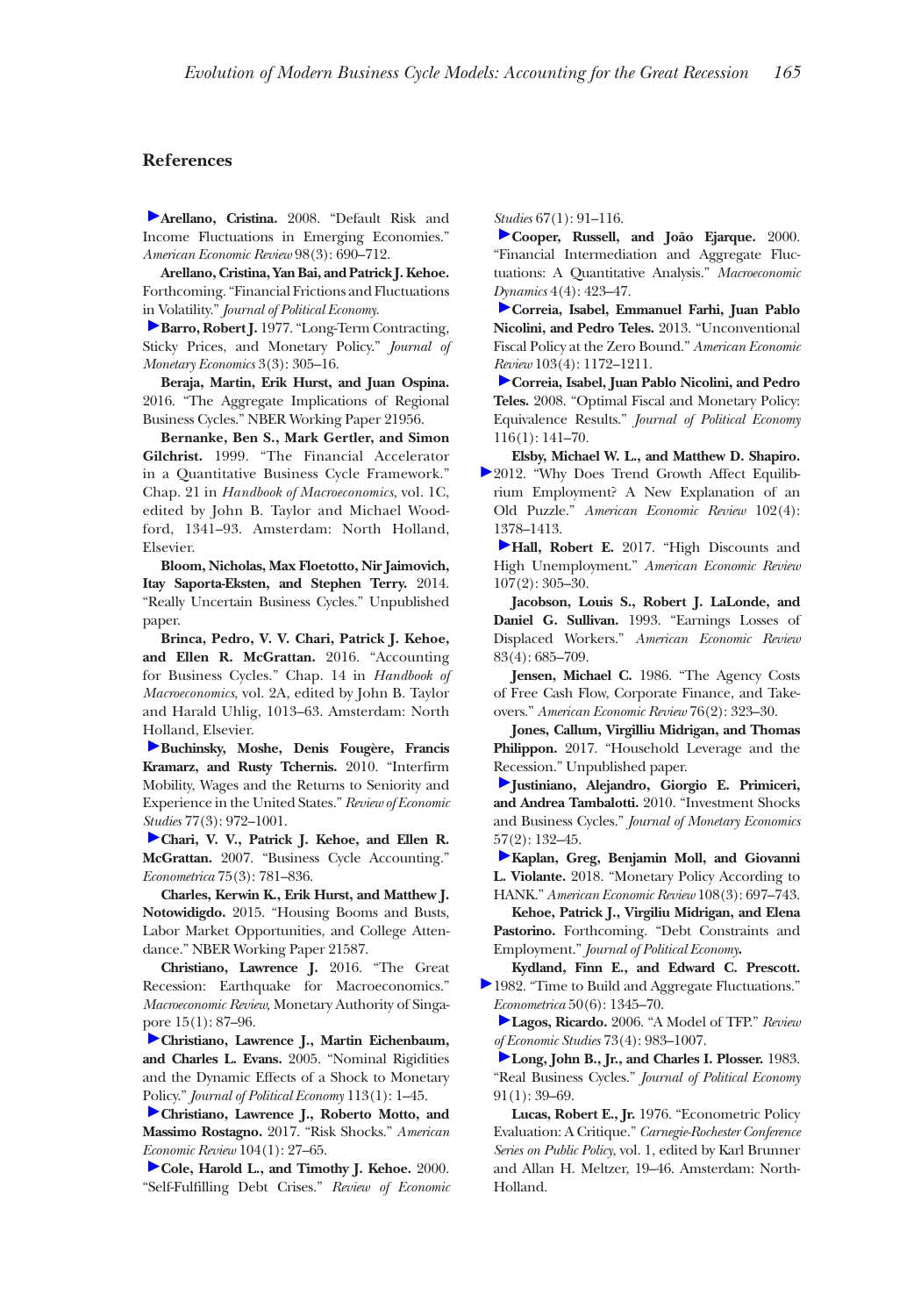#### **References**

**Arellano, Cristina.** 2008. "Default Risk and Income Fluctuations in Emerging Economies." *American Economic Review* 98(3): 690–712.

**Arellano, Cristina, Yan Bai, and Patrick J. Kehoe.**  Forthcoming. "Financial Frictions and Fluctuations in Volatility." *Journal of Political Economy*.

**Barro, Robert J.** 1977. "Long-Term Contracting, Sticky Prices, and Monetary Policy." *Journal of Monetary Economics* 3(3): 305–16.

**Beraja, Martin, Erik Hurst, and Juan Ospina.**  2016. "The Aggregate Implications of Regional Business Cycles." NBER Working Paper 21956.

**Bernanke, Ben S., Mark Gertler, and Simon Gilchrist.** 1999. "The Financial Accelerator in a Quantitative Business Cycle Framework." Chap. 21 in *Handbook of Macroeconomics*, vol. 1C, edited by John B. Taylor and Michael Woodford, 1341–93. Amsterdam: North Holland, Elsevier.

**Bloom, Nicholas, Max Floetotto, Nir Jaimovich, Itay Saporta-Eksten, and Stephen Terry.** 2014. "Really Uncertain Business Cycles." Unpublished paper.

**Brinca, Pedro, V. V. Chari, Patrick J. Kehoe, and Ellen R. McGrattan.** 2016. "Accounting for Business Cycles." Chap. 14 in *Handbook of Macroeconomics*, vol. 2A, edited by John B. Taylor and Harald Uhlig, 1013–63. Amsterdam: North Holland, Elsevier.

**Buchinsky, Moshe, Denis Fougère, Francis Kramarz, and Rusty Tchernis.** 2010. "Interfirm Mobility, Wages and the Returns to Seniority and Experience in the United States." *Review of Economic Studies* 77(3): 972–1001.

**Chari, V. V., Patrick J. Kehoe, and Ellen R. McGrattan.** 2007. "Business Cycle Accounting." *Econometrica* 75(3): 781–836.

**Charles, Kerwin K., Erik Hurst, and Matthew J. Notowidigdo.** 2015. "Housing Booms and Busts, Labor Market Opportunities, and College Attendance." NBER Working Paper 21587.

**Christiano, Lawrence J.** 2016. "The Great Recession: Earthquake for Macroeconomics." *Macroeconomic Review,* Monetary Authority of Singapore 15(1): 87–96.

**Christiano, Lawrence J., Martin Eichenbaum, and Charles L. Evans.** 2005. "Nominal Rigidities and the Dynamic Effects of a Shock to Monetary Policy." *Journal of Political Economy* 113(1): 1–45.

**Christiano, Lawrence J., Roberto Motto, and Massimo Rostagno.** 2017. "Risk Shocks." *American Economic Review* 104(1): 27–65.

**Cole, Harold L., and Timothy J. Kehoe.** 2000. "Self-Fulfilling Debt Crises." *Review of Economic*  *Studies* 67(1): 91–116.

**Cooper, Russell, and João Ejarque.** 2000. "Financial Intermediation and Aggregate Fluctuations: A Quantitative Analysis." *Macroeconomic Dynamics* 4(4): 423–47.

**Correia, Isabel, Emmanuel Farhi, Juan Pablo Nicolini, and Pedro Teles.** 2013. "Unconventional Fiscal Policy at the Zero Bound." *American Economic Review* 103(4): 1172–1211.

**Correia, Isabel, Juan Pablo Nicolini, and Pedro Teles.** 2008. "Optimal Fiscal and Monetary Policy: Equivalence Results." *Journal of Political Economy* 116(1): 141–70.

**Elsby, Michael W. L., and Matthew D. Shapiro.**  2012. "Why Does Trend Growth Affect Equilibrium Employment? A New Explanation of an Old Puzzle." *American Economic Review* 102(4): 1378–1413.

**Hall, Robert E.** 2017. "High Discounts and High Unemployment." *American Economic Review* 107(2): 305–30.

**Jacobson, Louis S., Robert J. LaLonde, and Daniel G. Sullivan.** 1993. "Earnings Losses of Displaced Workers." *American Economic Review* 83(4): 685–709.

**Jensen, Michael C.** 1986. "The Agency Costs of Free Cash Flow, Corporate Finance, and Takeovers." *American Economic Review* 76(2): 323–30.

**Jones, Callum, Virgilliu Midrigan, and Thomas Philippon.** 2017. "Household Leverage and the Recession." Unpublished paper.

**Justiniano, Alejandro, Giorgio E. Primiceri, and Andrea Tambalotti.** 2010. "Investment Shocks and Business Cycles." *Journal of Monetary Economics* 57(2): 132–45.

**Kaplan, Greg, Benjamin Moll, and Giovanni L. Violante.** 2018. "Monetary Policy According to HANK." *American Economic Review* 108(3): 697–743.

**Kehoe, Patrick J., Virgiliu Midrigan, and Elena Pastorino.** Forthcoming. "Debt Constraints and

Employment." *Journal of Political Economy***. Kydland, Finn E., and Edward C. Prescott.** 

1982. "Time to Build and Aggregate Fluctuations." *Econometrica* 50(6): 1345–70.

**Lagos, Ricardo.** 2006. "A Model of TFP." *Review of Economic Studies* 73(4): 983–1007.

**Long, John B., Jr., and Charles I. Plosser.** 1983. "Real Business Cycles." *Journal of Political Economy* 91(1): 39–69.

**Lucas, Robert E., Jr.** 1976. "Econometric Policy Evaluation: A Critique." *Carnegie-Rochester Conference Series on Public Policy*, vol. 1, edited by Karl Brunner and Allan H. Meltzer, 19–46. Amsterdam: North-Holland.